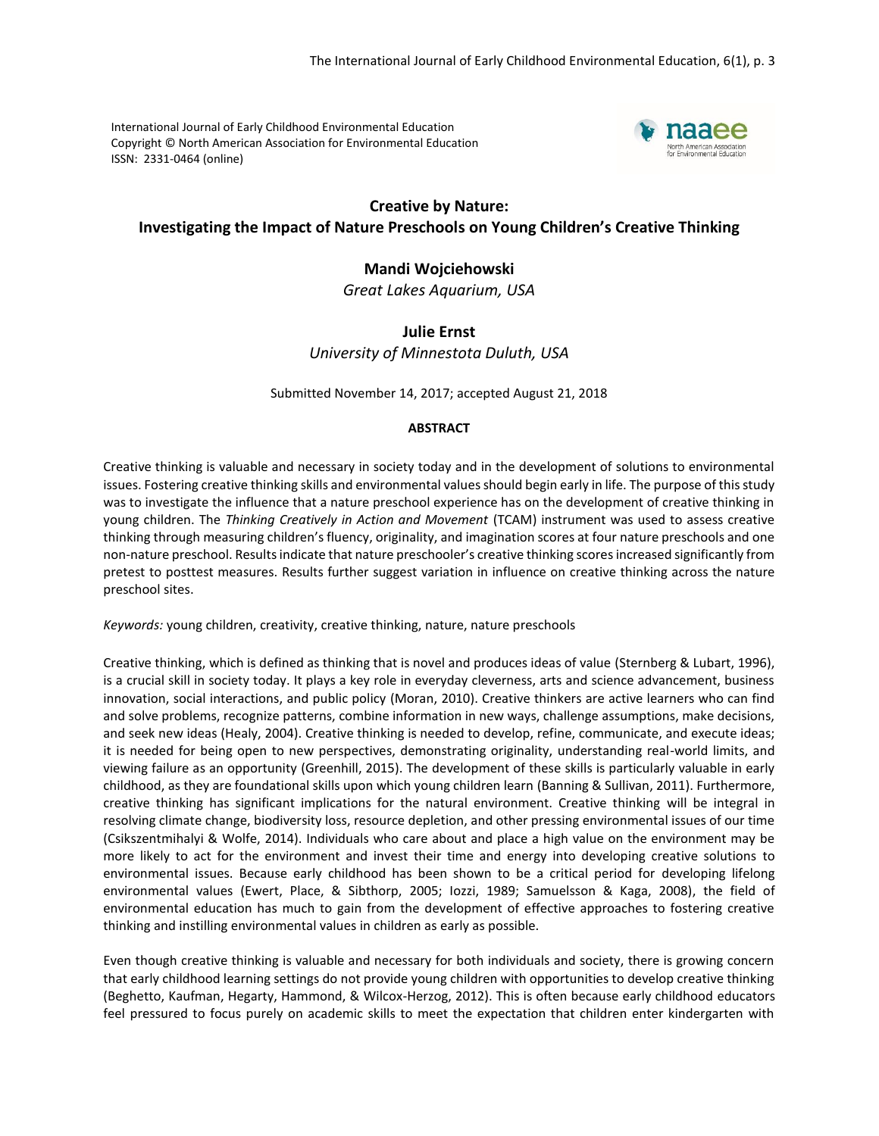International Journal of Early Childhood Environmental Education Copyright © North American Association for Environmental Education ISSN: 2331-0464 (online)



# **Creative by Nature: Investigating the Impact of Nature Preschools on Young Children's Creative Thinking**

# **Mandi Wojciehowski**

*Great Lakes Aquarium, USA*

# **Julie Ernst** *University of Minnestota Duluth, USA*

Submitted November 14, 2017; accepted August 21, 2018

## **ABSTRACT**

Creative thinking is valuable and necessary in society today and in the development of solutions to environmental issues. Fostering creative thinking skills and environmental values should begin early in life. The purpose of this study was to investigate the influence that a nature preschool experience has on the development of creative thinking in young children. The *Thinking Creatively in Action and Movement* (TCAM) instrument was used to assess creative thinking through measuring children's fluency, originality, and imagination scores at four nature preschools and one non-nature preschool. Results indicate that nature preschooler's creative thinking scores increased significantly from pretest to posttest measures. Results further suggest variation in influence on creative thinking across the nature preschool sites.

*Keywords:* young children, creativity, creative thinking, nature, nature preschools

Creative thinking, which is defined as thinking that is novel and produces ideas of value (Sternberg & Lubart, 1996), is a crucial skill in society today. It plays a key role in everyday cleverness, arts and science advancement, business innovation, social interactions, and public policy (Moran, 2010). Creative thinkers are active learners who can find and solve problems, recognize patterns, combine information in new ways, challenge assumptions, make decisions, and seek new ideas (Healy, 2004). Creative thinking is needed to develop, refine, communicate, and execute ideas; it is needed for being open to new perspectives, demonstrating originality, understanding real-world limits, and viewing failure as an opportunity (Greenhill, 2015). The development of these skills is particularly valuable in early childhood, as they are foundational skills upon which young children learn (Banning & Sullivan, 2011). Furthermore, creative thinking has significant implications for the natural environment. Creative thinking will be integral in resolving climate change, biodiversity loss, resource depletion, and other pressing environmental issues of our time (Csikszentmihalyi & Wolfe, 2014). Individuals who care about and place a high value on the environment may be more likely to act for the environment and invest their time and energy into developing creative solutions to environmental issues. Because early childhood has been shown to be a critical period for developing lifelong environmental values (Ewert, Place, & Sibthorp, 2005; Iozzi, 1989; Samuelsson & Kaga, 2008), the field of environmental education has much to gain from the development of effective approaches to fostering creative thinking and instilling environmental values in children as early as possible.

Even though creative thinking is valuable and necessary for both individuals and society, there is growing concern that early childhood learning settings do not provide young children with opportunities to develop creative thinking (Beghetto, Kaufman, Hegarty, Hammond, & Wilcox-Herzog, 2012). This is often because early childhood educators feel pressured to focus purely on academic skills to meet the expectation that children enter kindergarten with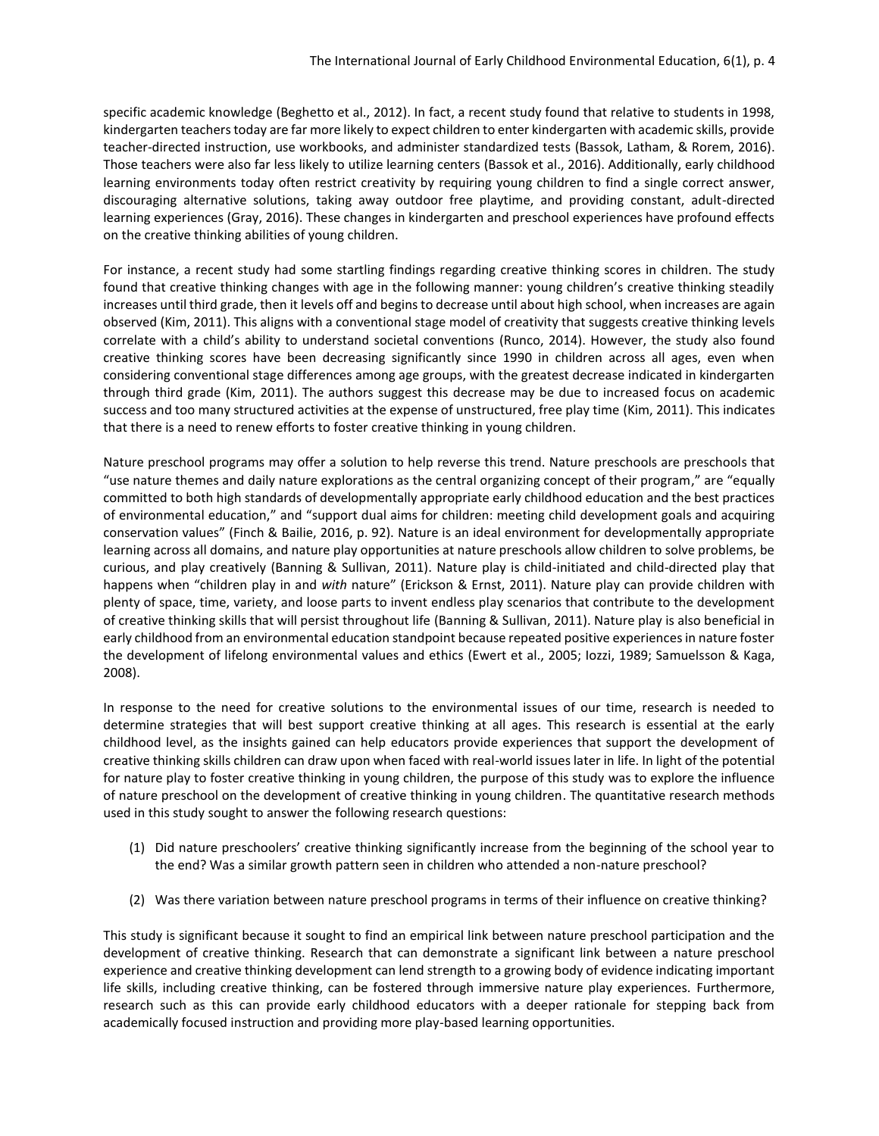specific academic knowledge (Beghetto et al., 2012). In fact, a recent study found that relative to students in 1998, kindergarten teachers today are far more likely to expect children to enter kindergarten with academic skills, provide teacher-directed instruction, use workbooks, and administer standardized tests (Bassok, Latham, & Rorem, 2016). Those teachers were also far less likely to utilize learning centers (Bassok et al., 2016). Additionally, early childhood learning environments today often restrict creativity by requiring young children to find a single correct answer, discouraging alternative solutions, taking away outdoor free playtime, and providing constant, adult-directed learning experiences (Gray, 2016). These changes in kindergarten and preschool experiences have profound effects on the creative thinking abilities of young children.

For instance, a recent study had some startling findings regarding creative thinking scores in children. The study found that creative thinking changes with age in the following manner: young children's creative thinking steadily increases until third grade, then it levels off and begins to decrease until about high school, when increases are again observed (Kim, 2011). This aligns with a conventional stage model of creativity that suggests creative thinking levels correlate with a child's ability to understand societal conventions (Runco, 2014). However, the study also found creative thinking scores have been decreasing significantly since 1990 in children across all ages, even when considering conventional stage differences among age groups, with the greatest decrease indicated in kindergarten through third grade (Kim, 2011). The authors suggest this decrease may be due to increased focus on academic success and too many structured activities at the expense of unstructured, free play time (Kim, 2011). This indicates that there is a need to renew efforts to foster creative thinking in young children.

Nature preschool programs may offer a solution to help reverse this trend. Nature preschools are preschools that "use nature themes and daily nature explorations as the central organizing concept of their program," are "equally committed to both high standards of developmentally appropriate early childhood education and the best practices of environmental education," and "support dual aims for children: meeting child development goals and acquiring conservation values" (Finch & Bailie, 2016, p. 92). Nature is an ideal environment for developmentally appropriate learning across all domains, and nature play opportunities at nature preschools allow children to solve problems, be curious, and play creatively (Banning & Sullivan, 2011). Nature play is child-initiated and child-directed play that happens when "children play in and *with* nature" (Erickson & Ernst, 2011). Nature play can provide children with plenty of space, time, variety, and loose parts to invent endless play scenarios that contribute to the development of creative thinking skills that will persist throughout life (Banning & Sullivan, 2011). Nature play is also beneficial in early childhood from an environmental education standpoint because repeated positive experiences in nature foster the development of lifelong environmental values and ethics (Ewert et al., 2005; Iozzi, 1989; Samuelsson & Kaga, 2008).

In response to the need for creative solutions to the environmental issues of our time, research is needed to determine strategies that will best support creative thinking at all ages. This research is essential at the early childhood level, as the insights gained can help educators provide experiences that support the development of creative thinking skills children can draw upon when faced with real-world issues later in life. In light of the potential for nature play to foster creative thinking in young children, the purpose of this study was to explore the influence of nature preschool on the development of creative thinking in young children. The quantitative research methods used in this study sought to answer the following research questions:

- (1) Did nature preschoolers' creative thinking significantly increase from the beginning of the school year to the end? Was a similar growth pattern seen in children who attended a non-nature preschool?
- (2) Was there variation between nature preschool programs in terms of their influence on creative thinking?

This study is significant because it sought to find an empirical link between nature preschool participation and the development of creative thinking. Research that can demonstrate a significant link between a nature preschool experience and creative thinking development can lend strength to a growing body of evidence indicating important life skills, including creative thinking, can be fostered through immersive nature play experiences. Furthermore, research such as this can provide early childhood educators with a deeper rationale for stepping back from academically focused instruction and providing more play-based learning opportunities.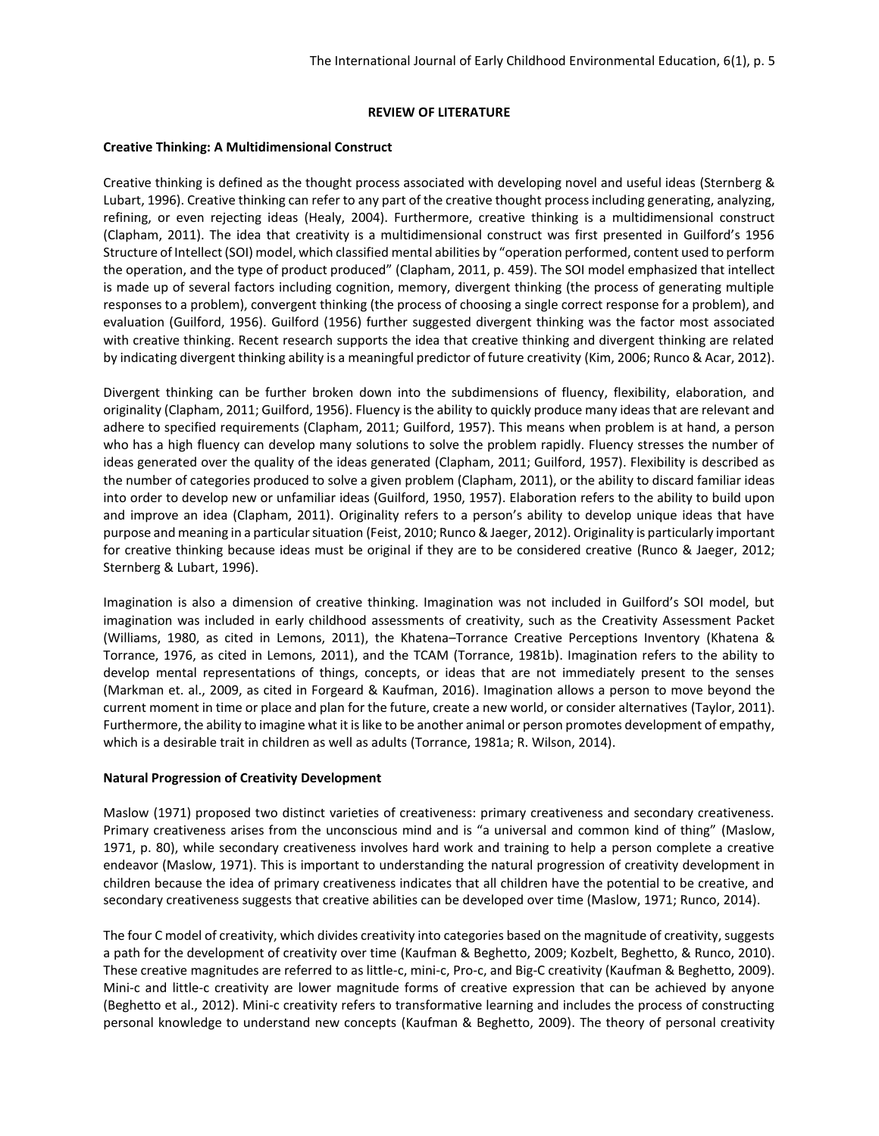#### **REVIEW OF LITERATURE**

#### **Creative Thinking: A Multidimensional Construct**

Creative thinking is defined as the thought process associated with developing novel and useful ideas (Sternberg & Lubart, 1996). Creative thinking can refer to any part of the creative thought process including generating, analyzing, refining, or even rejecting ideas (Healy, 2004). Furthermore, creative thinking is a multidimensional construct (Clapham, 2011). The idea that creativity is a multidimensional construct was first presented in Guilford's 1956 Structure of Intellect (SOI) model, which classified mental abilities by "operation performed, content used to perform the operation, and the type of product produced" (Clapham, 2011, p. 459). The SOI model emphasized that intellect is made up of several factors including cognition, memory, divergent thinking (the process of generating multiple responses to a problem), convergent thinking (the process of choosing a single correct response for a problem), and evaluation (Guilford, 1956). Guilford (1956) further suggested divergent thinking was the factor most associated with creative thinking. Recent research supports the idea that creative thinking and divergent thinking are related by indicating divergent thinking ability is a meaningful predictor of future creativity (Kim, 2006; Runco & Acar, 2012).

Divergent thinking can be further broken down into the subdimensions of fluency, flexibility, elaboration, and originality (Clapham, 2011; Guilford, 1956). Fluency is the ability to quickly produce many ideas that are relevant and adhere to specified requirements (Clapham, 2011; Guilford, 1957). This means when problem is at hand, a person who has a high fluency can develop many solutions to solve the problem rapidly. Fluency stresses the number of ideas generated over the quality of the ideas generated (Clapham, 2011; Guilford, 1957). Flexibility is described as the number of categories produced to solve a given problem (Clapham, 2011), or the ability to discard familiar ideas into order to develop new or unfamiliar ideas (Guilford, 1950, 1957). Elaboration refers to the ability to build upon and improve an idea (Clapham, 2011). Originality refers to a person's ability to develop unique ideas that have purpose and meaning in a particular situation (Feist, 2010; Runco & Jaeger, 2012). Originality is particularly important for creative thinking because ideas must be original if they are to be considered creative (Runco & Jaeger, 2012; Sternberg & Lubart, 1996).

Imagination is also a dimension of creative thinking. Imagination was not included in Guilford's SOI model, but imagination was included in early childhood assessments of creativity, such as the Creativity Assessment Packet (Williams, 1980, as cited in Lemons, 2011), the Khatena–Torrance Creative Perceptions Inventory (Khatena & Torrance, 1976, as cited in Lemons, 2011), and the TCAM (Torrance, 1981b). Imagination refers to the ability to develop mental representations of things, concepts, or ideas that are not immediately present to the senses (Markman et. al., 2009, as cited in Forgeard & Kaufman, 2016). Imagination allows a person to move beyond the current moment in time or place and plan for the future, create a new world, or consider alternatives (Taylor, 2011). Furthermore, the ability to imagine what it is like to be another animal or person promotes development of empathy, which is a desirable trait in children as well as adults (Torrance, 1981a; R. Wilson, 2014).

#### **Natural Progression of Creativity Development**

Maslow (1971) proposed two distinct varieties of creativeness: primary creativeness and secondary creativeness. Primary creativeness arises from the unconscious mind and is "a universal and common kind of thing" (Maslow, 1971, p. 80), while secondary creativeness involves hard work and training to help a person complete a creative endeavor (Maslow, 1971). This is important to understanding the natural progression of creativity development in children because the idea of primary creativeness indicates that all children have the potential to be creative, and secondary creativeness suggests that creative abilities can be developed over time (Maslow, 1971; Runco, 2014).

The four C model of creativity, which divides creativity into categories based on the magnitude of creativity, suggests a path for the development of creativity over time (Kaufman & Beghetto, 2009; Kozbelt, Beghetto, & Runco, 2010). These creative magnitudes are referred to as little-c, mini-c, Pro-c, and Big-C creativity (Kaufman & Beghetto, 2009). Mini-c and little-c creativity are lower magnitude forms of creative expression that can be achieved by anyone (Beghetto et al., 2012). Mini-c creativity refers to transformative learning and includes the process of constructing personal knowledge to understand new concepts (Kaufman & Beghetto, 2009). The theory of personal creativity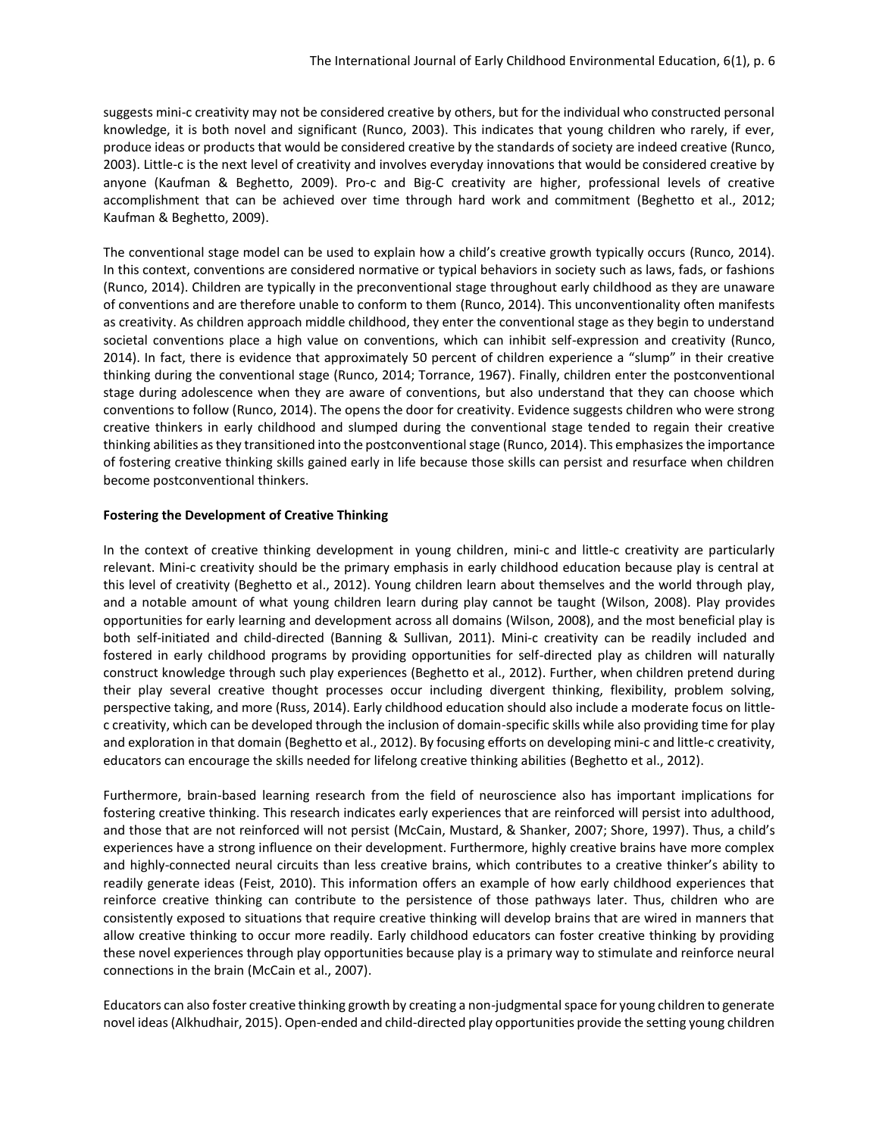suggests mini-c creativity may not be considered creative by others, but for the individual who constructed personal knowledge, it is both novel and significant (Runco, 2003). This indicates that young children who rarely, if ever, produce ideas or products that would be considered creative by the standards of society are indeed creative (Runco, 2003). Little-c is the next level of creativity and involves everyday innovations that would be considered creative by anyone (Kaufman & Beghetto, 2009). Pro-c and Big-C creativity are higher, professional levels of creative accomplishment that can be achieved over time through hard work and commitment (Beghetto et al., 2012; Kaufman & Beghetto, 2009).

The conventional stage model can be used to explain how a child's creative growth typically occurs (Runco, 2014). In this context, conventions are considered normative or typical behaviors in society such as laws, fads, or fashions (Runco, 2014). Children are typically in the preconventional stage throughout early childhood as they are unaware of conventions and are therefore unable to conform to them (Runco, 2014). This unconventionality often manifests as creativity. As children approach middle childhood, they enter the conventional stage as they begin to understand societal conventions place a high value on conventions, which can inhibit self-expression and creativity (Runco, 2014). In fact, there is evidence that approximately 50 percent of children experience a "slump" in their creative thinking during the conventional stage (Runco, 2014; Torrance, 1967). Finally, children enter the postconventional stage during adolescence when they are aware of conventions, but also understand that they can choose which conventions to follow (Runco, 2014). The opens the door for creativity. Evidence suggests children who were strong creative thinkers in early childhood and slumped during the conventional stage tended to regain their creative thinking abilities as they transitioned into the postconventional stage (Runco, 2014). This emphasizes the importance of fostering creative thinking skills gained early in life because those skills can persist and resurface when children become postconventional thinkers.

#### **Fostering the Development of Creative Thinking**

In the context of creative thinking development in young children, mini-c and little-c creativity are particularly relevant. Mini-c creativity should be the primary emphasis in early childhood education because play is central at this level of creativity (Beghetto et al., 2012). Young children learn about themselves and the world through play, and a notable amount of what young children learn during play cannot be taught (Wilson, 2008). Play provides opportunities for early learning and development across all domains (Wilson, 2008), and the most beneficial play is both self-initiated and child-directed (Banning & Sullivan, 2011). Mini-c creativity can be readily included and fostered in early childhood programs by providing opportunities for self-directed play as children will naturally construct knowledge through such play experiences (Beghetto et al., 2012). Further, when children pretend during their play several creative thought processes occur including divergent thinking, flexibility, problem solving, perspective taking, and more (Russ, 2014). Early childhood education should also include a moderate focus on littlec creativity, which can be developed through the inclusion of domain-specific skills while also providing time for play and exploration in that domain (Beghetto et al., 2012). By focusing efforts on developing mini-c and little-c creativity, educators can encourage the skills needed for lifelong creative thinking abilities (Beghetto et al., 2012).

Furthermore, brain-based learning research from the field of neuroscience also has important implications for fostering creative thinking. This research indicates early experiences that are reinforced will persist into adulthood, and those that are not reinforced will not persist (McCain, Mustard, & Shanker, 2007; Shore, 1997). Thus, a child's experiences have a strong influence on their development. Furthermore, highly creative brains have more complex and highly-connected neural circuits than less creative brains, which contributes to a creative thinker's ability to readily generate ideas (Feist, 2010). This information offers an example of how early childhood experiences that reinforce creative thinking can contribute to the persistence of those pathways later. Thus, children who are consistently exposed to situations that require creative thinking will develop brains that are wired in manners that allow creative thinking to occur more readily. Early childhood educators can foster creative thinking by providing these novel experiences through play opportunities because play is a primary way to stimulate and reinforce neural connections in the brain (McCain et al., 2007).

Educators can also foster creative thinking growth by creating a non-judgmental space for young children to generate novel ideas (Alkhudhair, 2015). Open-ended and child-directed play opportunities provide the setting young children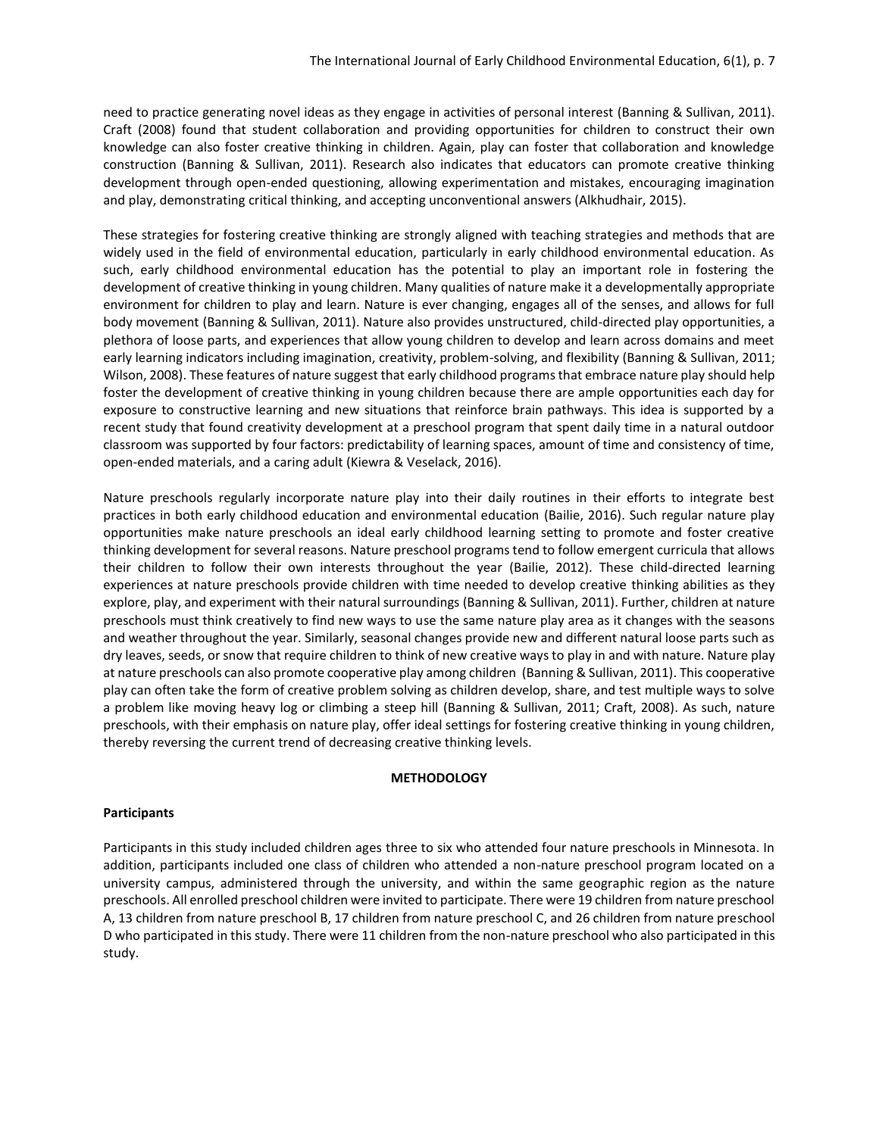need to practice generating novel ideas as they engage in activities of personal interest (Banning & Sullivan, 2011). Craft (2008) found that student collaboration and providing opportunities for children to construct their own knowledge can also foster creative thinking in children. Again, play can foster that collaboration and knowledge construction (Banning & Sullivan, 2011). Research also indicates that educators can promote creative thinking development through open-ended questioning, allowing experimentation and mistakes, encouraging imagination and play, demonstrating critical thinking, and accepting unconventional answers (Alkhudhair, 2015).

These strategies for fostering creative thinking are strongly aligned with teaching strategies and methods that are widely used in the field of environmental education, particularly in early childhood environmental education. As such, early childhood environmental education has the potential to play an important role in fostering the development of creative thinking in young children. Many qualities of nature make it a developmentally appropriate environment for children to play and learn. Nature is ever changing, engages all of the senses, and allows for full body movement (Banning & Sullivan, 2011). Nature also provides unstructured, child-directed play opportunities, a plethora of loose parts, and experiences that allow young children to develop and learn across domains and meet early learning indicators including imagination, creativity, problem-solving, and flexibility (Banning & Sullivan, 2011; Wilson, 2008). These features of nature suggest that early childhood programs that embrace nature play should help foster the development of creative thinking in young children because there are ample opportunities each day for exposure to constructive learning and new situations that reinforce brain pathways. This idea is supported by a recent study that found creativity development at a preschool program that spent daily time in a natural outdoor classroom was supported by four factors: predictability of learning spaces, amount of time and consistency of time, open-ended materials, and a caring adult (Kiewra & Veselack, 2016).

Nature preschools regularly incorporate nature play into their daily routines in their efforts to integrate best practices in both early childhood education and environmental education (Bailie, 2016). Such regular nature play opportunities make nature preschools an ideal early childhood learning setting to promote and foster creative thinking development for several reasons. Nature preschool programs tend to follow emergent curricula that allows their children to follow their own interests throughout the year (Bailie, 2012). These child-directed learning experiences at nature preschools provide children with time needed to develop creative thinking abilities as they explore, play, and experiment with their natural surroundings (Banning & Sullivan, 2011). Further, children at nature preschools must think creatively to find new ways to use the same nature play area as it changes with the seasons and weather throughout the year. Similarly, seasonal changes provide new and different natural loose parts such as dry leaves, seeds, or snow that require children to think of new creative ways to play in and with nature. Nature play at nature preschools can also promote cooperative play among children (Banning & Sullivan, 2011). This cooperative play can often take the form of creative problem solving as children develop, share, and test multiple ways to solve a problem like moving heavy log or climbing a steep hill (Banning & Sullivan, 2011; Craft, 2008). As such, nature preschools, with their emphasis on nature play, offer ideal settings for fostering creative thinking in young children, thereby reversing the current trend of decreasing creative thinking levels.

#### **METHODOLOGY**

# **Participants**

Participants in this study included children ages three to six who attended four nature preschools in Minnesota. In addition, participants included one class of children who attended a non-nature preschool program located on a university campus, administered through the university, and within the same geographic region as the nature preschools. All enrolled preschool children were invited to participate. There were 19 children from nature preschool A, 13 children from nature preschool B, 17 children from nature preschool C, and 26 children from nature preschool D who participated in this study. There were 11 children from the non-nature preschool who also participated in this study.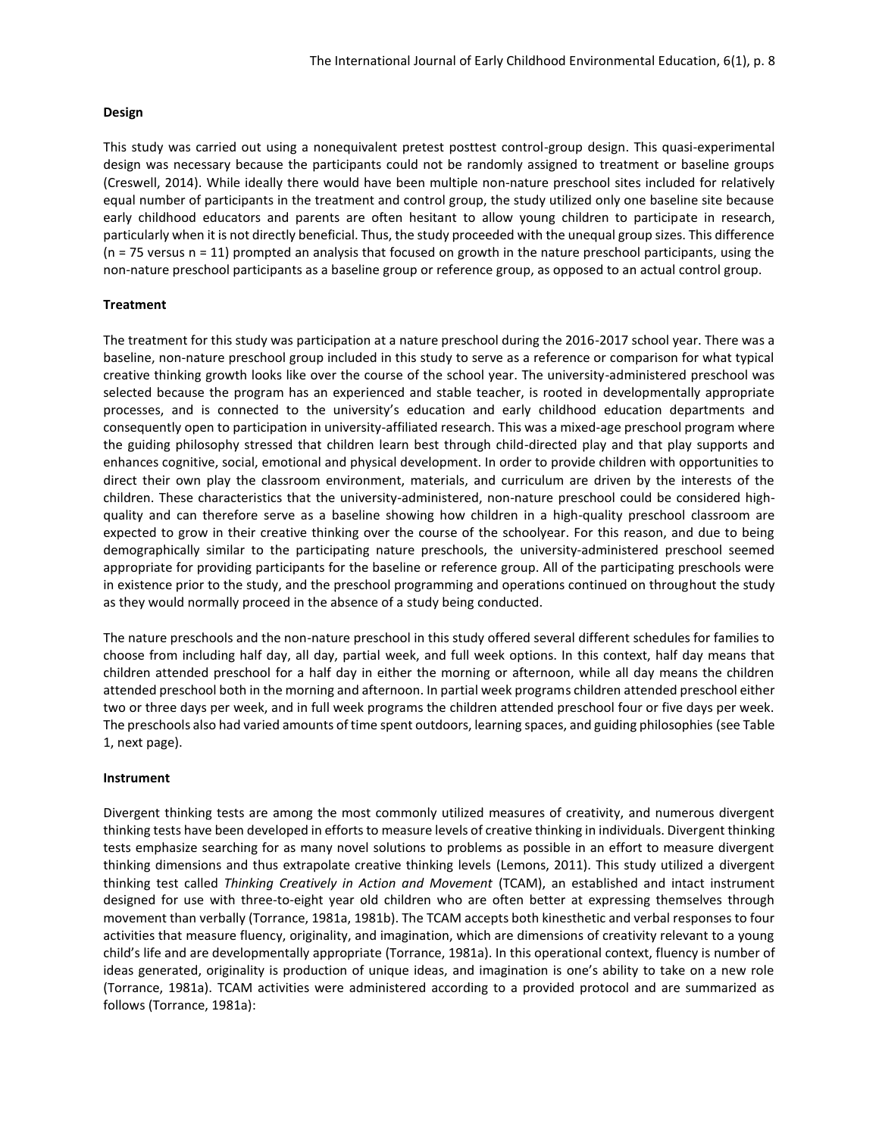#### **Design**

This study was carried out using a nonequivalent pretest posttest control-group design. This quasi-experimental design was necessary because the participants could not be randomly assigned to treatment or baseline groups (Creswell, 2014). While ideally there would have been multiple non-nature preschool sites included for relatively equal number of participants in the treatment and control group, the study utilized only one baseline site because early childhood educators and parents are often hesitant to allow young children to participate in research, particularly when it is not directly beneficial. Thus, the study proceeded with the unequal group sizes. This difference (n = 75 versus n = 11) prompted an analysis that focused on growth in the nature preschool participants, using the non-nature preschool participants as a baseline group or reference group, as opposed to an actual control group.

# **Treatment**

The treatment for this study was participation at a nature preschool during the 2016-2017 school year. There was a baseline, non-nature preschool group included in this study to serve as a reference or comparison for what typical creative thinking growth looks like over the course of the school year. The university-administered preschool was selected because the program has an experienced and stable teacher, is rooted in developmentally appropriate processes, and is connected to the university's education and early childhood education departments and consequently open to participation in university-affiliated research. This was a mixed-age preschool program where the guiding philosophy stressed that children learn best through child-directed play and that play supports and enhances cognitive, social, emotional and physical development. In order to provide children with opportunities to direct their own play the classroom environment, materials, and curriculum are driven by the interests of the children. These characteristics that the university-administered, non-nature preschool could be considered highquality and can therefore serve as a baseline showing how children in a high-quality preschool classroom are expected to grow in their creative thinking over the course of the schoolyear. For this reason, and due to being demographically similar to the participating nature preschools, the university-administered preschool seemed appropriate for providing participants for the baseline or reference group. All of the participating preschools were in existence prior to the study, and the preschool programming and operations continued on throughout the study as they would normally proceed in the absence of a study being conducted.

The nature preschools and the non-nature preschool in this study offered several different schedules for families to choose from including half day, all day, partial week, and full week options. In this context, half day means that children attended preschool for a half day in either the morning or afternoon, while all day means the children attended preschool both in the morning and afternoon. In partial week programs children attended preschool either two or three days per week, and in full week programs the children attended preschool four or five days per week. The preschools also had varied amounts of time spent outdoors, learning spaces, and guiding philosophies (see Table 1, next page).

#### **Instrument**

Divergent thinking tests are among the most commonly utilized measures of creativity, and numerous divergent thinking tests have been developed in efforts to measure levels of creative thinking in individuals. Divergent thinking tests emphasize searching for as many novel solutions to problems as possible in an effort to measure divergent thinking dimensions and thus extrapolate creative thinking levels (Lemons, 2011). This study utilized a divergent thinking test called *Thinking Creatively in Action and Movement* (TCAM), an established and intact instrument designed for use with three-to-eight year old children who are often better at expressing themselves through movement than verbally (Torrance, 1981a, 1981b). The TCAM accepts both kinesthetic and verbal responses to four activities that measure fluency, originality, and imagination, which are dimensions of creativity relevant to a young child's life and are developmentally appropriate (Torrance, 1981a). In this operational context, fluency is number of ideas generated, originality is production of unique ideas, and imagination is one's ability to take on a new role (Torrance, 1981a). TCAM activities were administered according to a provided protocol and are summarized as follows (Torrance, 1981a):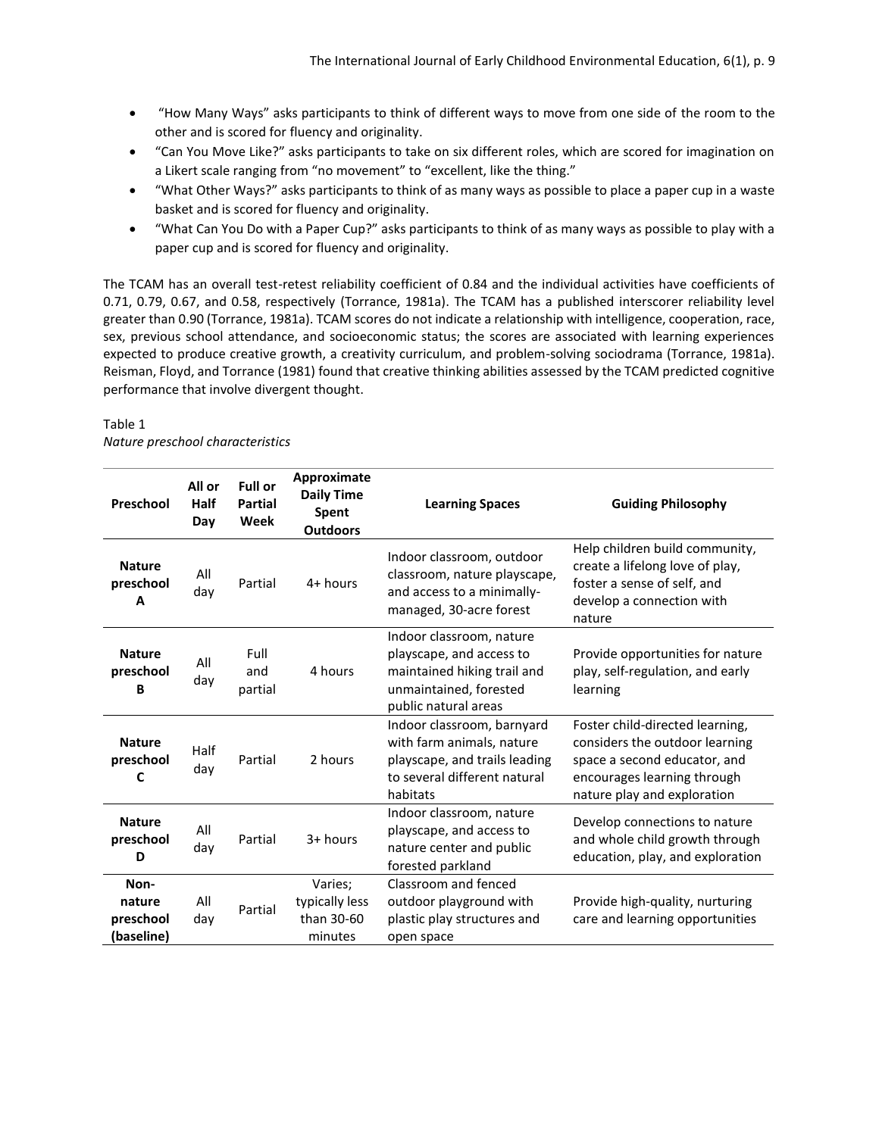- "How Many Ways" asks participants to think of different ways to move from one side of the room to the other and is scored for fluency and originality.
- "Can You Move Like?" asks participants to take on six different roles, which are scored for imagination on a Likert scale ranging from "no movement" to "excellent, like the thing."
- "What Other Ways?" asks participants to think of as many ways as possible to place a paper cup in a waste basket and is scored for fluency and originality.
- "What Can You Do with a Paper Cup?" asks participants to think of as many ways as possible to play with a paper cup and is scored for fluency and originality.

The TCAM has an overall test-retest reliability coefficient of 0.84 and the individual activities have coefficients of 0.71, 0.79, 0.67, and 0.58, respectively (Torrance, 1981a). The TCAM has a published interscorer reliability level greater than 0.90 (Torrance, 1981a). TCAM scores do not indicate a relationship with intelligence, cooperation, race, sex, previous school attendance, and socioeconomic status; the scores are associated with learning experiences expected to produce creative growth, a creativity curriculum, and problem-solving sociodrama (Torrance, 1981a). Reisman, Floyd, and Torrance (1981) found that creative thinking abilities assessed by the TCAM predicted cognitive performance that involve divergent thought.

# Table 1 *Nature preschool characteristics*

| Preschool                                 | All or<br>Half<br>Day | <b>Full or</b><br><b>Partial</b><br>Week | Approximate<br><b>Daily Time</b><br>Spent<br><b>Outdoors</b> | <b>Learning Spaces</b>                                                                                                                | <b>Guiding Philosophy</b>                                                                                                                                       |
|-------------------------------------------|-----------------------|------------------------------------------|--------------------------------------------------------------|---------------------------------------------------------------------------------------------------------------------------------------|-----------------------------------------------------------------------------------------------------------------------------------------------------------------|
| <b>Nature</b><br>preschool<br>A           | All<br>day            | Partial                                  | $4+$ hours                                                   | Indoor classroom, outdoor<br>classroom, nature playscape,<br>and access to a minimally-<br>managed, 30-acre forest                    | Help children build community,<br>create a lifelong love of play,<br>foster a sense of self, and<br>develop a connection with<br>nature                         |
| <b>Nature</b><br>preschool<br>B           | All<br>day            | Full<br>and<br>partial                   | 4 hours                                                      | Indoor classroom, nature<br>playscape, and access to<br>maintained hiking trail and<br>unmaintained, forested<br>public natural areas | Provide opportunities for nature<br>play, self-regulation, and early<br>learning                                                                                |
| <b>Nature</b><br>preschool<br>C           | Half<br>day           | Partial                                  | 2 hours                                                      | Indoor classroom, barnyard<br>with farm animals, nature<br>playscape, and trails leading<br>to several different natural<br>habitats  | Foster child-directed learning,<br>considers the outdoor learning<br>space a second educator, and<br>encourages learning through<br>nature play and exploration |
| <b>Nature</b><br>preschool<br>D           | All<br>day            | Partial                                  | 3+ hours                                                     | Indoor classroom, nature<br>playscape, and access to<br>nature center and public<br>forested parkland                                 | Develop connections to nature<br>and whole child growth through<br>education, play, and exploration                                                             |
| Non-<br>nature<br>preschool<br>(baseline) | All<br>day            | Partial                                  | Varies;<br>typically less<br>than 30-60<br>minutes           | Classroom and fenced<br>outdoor playground with<br>plastic play structures and<br>open space                                          | Provide high-quality, nurturing<br>care and learning opportunities                                                                                              |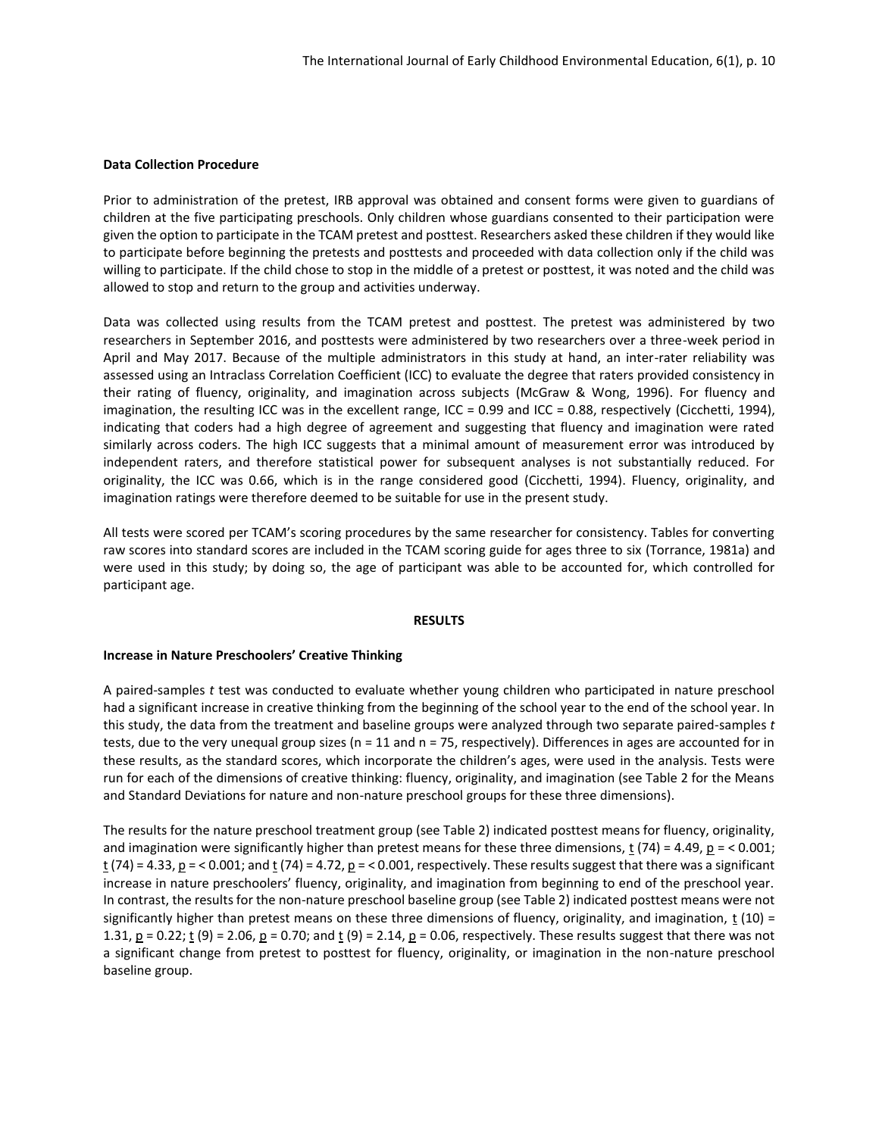#### **Data Collection Procedure**

Prior to administration of the pretest, IRB approval was obtained and consent forms were given to guardians of children at the five participating preschools. Only children whose guardians consented to their participation were given the option to participate in the TCAM pretest and posttest. Researchers asked these children if they would like to participate before beginning the pretests and posttests and proceeded with data collection only if the child was willing to participate. If the child chose to stop in the middle of a pretest or posttest, it was noted and the child was allowed to stop and return to the group and activities underway.

Data was collected using results from the TCAM pretest and posttest. The pretest was administered by two researchers in September 2016, and posttests were administered by two researchers over a three-week period in April and May 2017. Because of the multiple administrators in this study at hand, an inter-rater reliability was assessed using an Intraclass Correlation Coefficient (ICC) to evaluate the degree that raters provided consistency in their rating of fluency, originality, and imagination across subjects (McGraw & Wong, 1996). For fluency and imagination, the resulting ICC was in the excellent range, ICC = 0.99 and ICC = 0.88, respectively (Cicchetti, 1994), indicating that coders had a high degree of agreement and suggesting that fluency and imagination were rated similarly across coders. The high ICC suggests that a minimal amount of measurement error was introduced by independent raters, and therefore statistical power for subsequent analyses is not substantially reduced. For originality, the ICC was 0.66, which is in the range considered good (Cicchetti, 1994). Fluency, originality, and imagination ratings were therefore deemed to be suitable for use in the present study.

All tests were scored per TCAM's scoring procedures by the same researcher for consistency. Tables for converting raw scores into standard scores are included in the TCAM scoring guide for ages three to six (Torrance, 1981a) and were used in this study; by doing so, the age of participant was able to be accounted for, which controlled for participant age.

#### **RESULTS**

#### **Increase in Nature Preschoolers' Creative Thinking**

A paired-samples *t* test was conducted to evaluate whether young children who participated in nature preschool had a significant increase in creative thinking from the beginning of the school year to the end of the school year. In this study, the data from the treatment and baseline groups were analyzed through two separate paired-samples *t* tests, due to the very unequal group sizes (n = 11 and n = 75, respectively). Differences in ages are accounted for in these results, as the standard scores, which incorporate the children's ages, were used in the analysis. Tests were run for each of the dimensions of creative thinking: fluency, originality, and imagination (see Table 2 for the Means and Standard Deviations for nature and non-nature preschool groups for these three dimensions).

The results for the nature preschool treatment group (see Table 2) indicated posttest means for fluency, originality, and imagination were significantly higher than pretest means for these three dimensions, t (74) = 4.49,  $p = < 0.001$ ;  $\underline{t}$  (74) = 4.33, <u>p</u> = < 0.001; and  $\underline{t}$  (74) = 4.72, <u>p</u> = < 0.001, respectively. These results suggest that there was a significant increase in nature preschoolers' fluency, originality, and imagination from beginning to end of the preschool year. In contrast, the results for the non-nature preschool baseline group (see Table 2) indicated posttest means were not significantly higher than pretest means on these three dimensions of fluency, originality, and imagination, t  $(10)$  = 1.31,  $p = 0.22$ ;  $t(9) = 2.06$ ,  $p = 0.70$ ; and  $t(9) = 2.14$ ,  $p = 0.06$ , respectively. These results suggest that there was not a significant change from pretest to posttest for fluency, originality, or imagination in the non-nature preschool baseline group.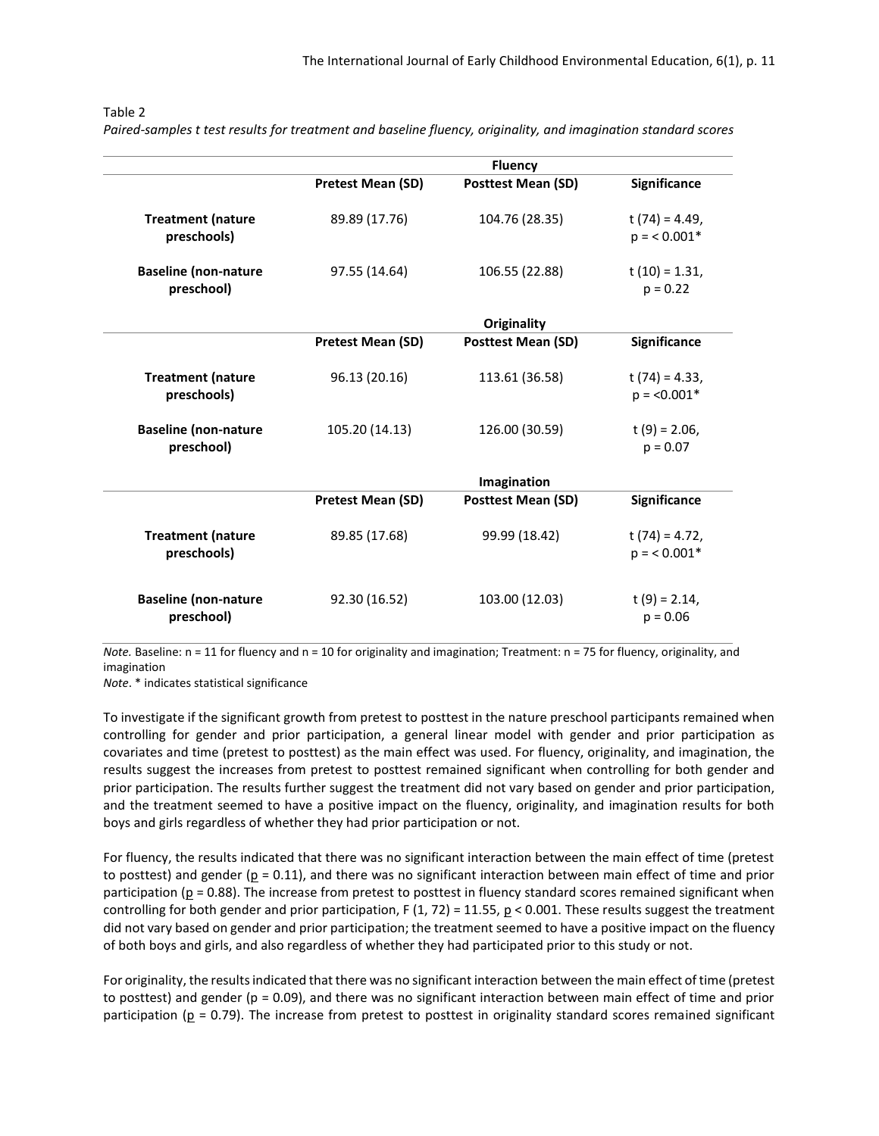|                   | <b>Fluency</b>            |                     |
|-------------------|---------------------------|---------------------|
| Pretest Mean (SD) | <b>Posttest Mean (SD)</b> | Significance        |
| 89.89 (17.76)     | 104.76 (28.35)            | t $(74) = 4.49$ ,   |
|                   |                           | $p = 0.001*$        |
| 97.55 (14.64)     | 106.55 (22.88)            | $t(10) = 1.31$ ,    |
|                   |                           | $p = 0.22$          |
|                   | Originality               |                     |
| Pretest Mean (SD) | <b>Posttest Mean (SD)</b> | Significance        |
| 96.13 (20.16)     | 113.61 (36.58)            | $t(74) = 4.33,$     |
|                   |                           | $p = 0.001*$        |
| 105.20 (14.13)    | 126.00 (30.59)            | t $(9) = 2.06$ ,    |
|                   |                           | $p = 0.07$          |
|                   | Imagination               |                     |
| Pretest Mean (SD) | <b>Posttest Mean (SD)</b> | <b>Significance</b> |
| 89.85 (17.68)     | 99.99 (18.42)             | t $(74) = 4.72$ ,   |
|                   |                           | $p = 0.001*$        |
|                   |                           |                     |
|                   |                           | t $(9) = 2.14$ ,    |
|                   | 92.30 (16.52)             | 103.00 (12.03)      |

#### Table 2

*Paired-samples t test results for treatment and baseline fluency, originality, and imagination standard scores*

*Note.* Baseline: n = 11 for fluency and n = 10 for originality and imagination; Treatment: n = 75 for fluency, originality, and imagination

*Note*. \* indicates statistical significance

To investigate if the significant growth from pretest to posttest in the nature preschool participants remained when controlling for gender and prior participation, a general linear model with gender and prior participation as covariates and time (pretest to posttest) as the main effect was used. For fluency, originality, and imagination, the results suggest the increases from pretest to posttest remained significant when controlling for both gender and prior participation. The results further suggest the treatment did not vary based on gender and prior participation, and the treatment seemed to have a positive impact on the fluency, originality, and imagination results for both boys and girls regardless of whether they had prior participation or not.

For fluency, the results indicated that there was no significant interaction between the main effect of time (pretest to posttest) and gender ( $p = 0.11$ ), and there was no significant interaction between main effect of time and prior participation ( $p = 0.88$ ). The increase from pretest to posttest in fluency standard scores remained significant when controlling for both gender and prior participation, F (1, 72) = 11.55,  $p < 0.001$ . These results suggest the treatment did not vary based on gender and prior participation; the treatment seemed to have a positive impact on the fluency of both boys and girls, and also regardless of whether they had participated prior to this study or not.

For originality, the results indicated that there was no significant interaction between the main effect of time (pretest to posttest) and gender (p = 0.09), and there was no significant interaction between main effect of time and prior participation ( $p = 0.79$ ). The increase from pretest to posttest in originality standard scores remained significant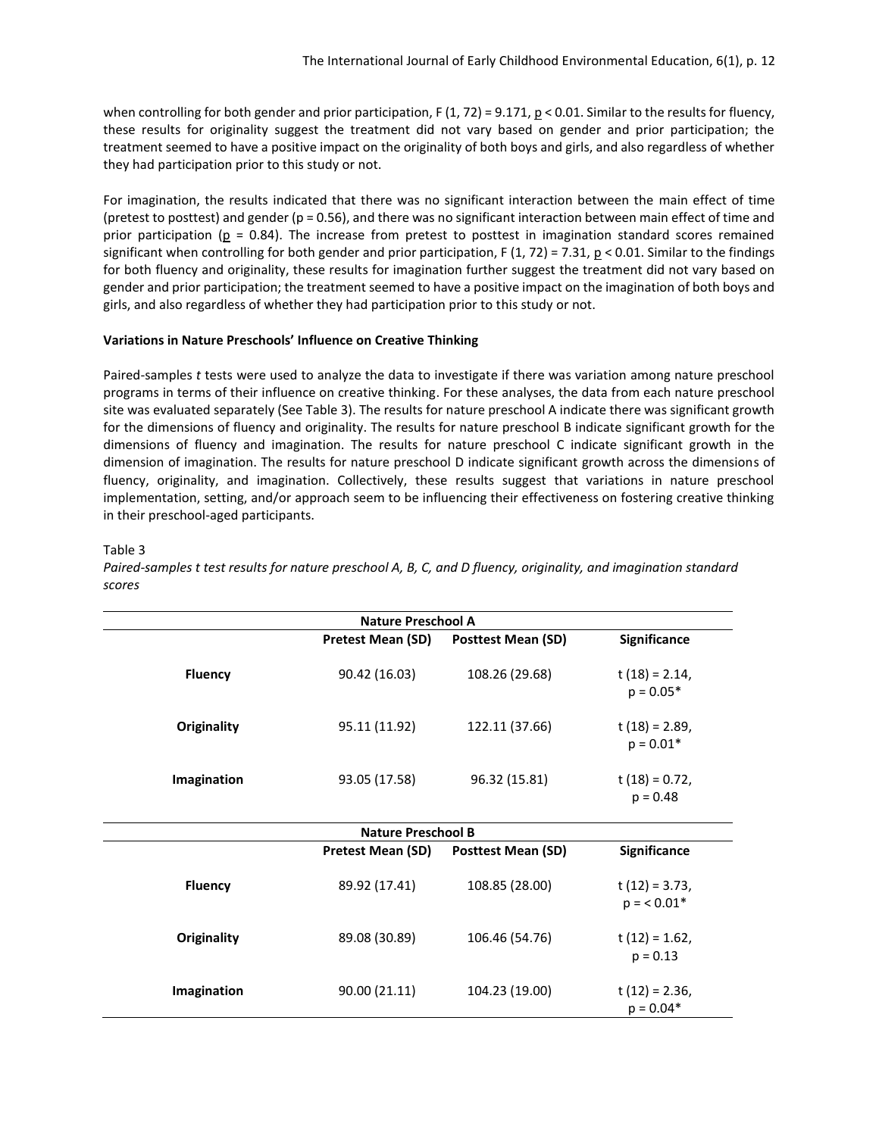when controlling for both gender and prior participation,  $F(1, 72) = 9.171$ ,  $p < 0.01$ . Similar to the results for fluency, these results for originality suggest the treatment did not vary based on gender and prior participation; the treatment seemed to have a positive impact on the originality of both boys and girls, and also regardless of whether they had participation prior to this study or not.

For imagination, the results indicated that there was no significant interaction between the main effect of time (pretest to posttest) and gender ( $p = 0.56$ ), and there was no significant interaction between main effect of time and prior participation ( $p = 0.84$ ). The increase from pretest to posttest in imagination standard scores remained significant when controlling for both gender and prior participation, F  $(1, 72) = 7.31$ ,  $p < 0.01$ . Similar to the findings for both fluency and originality, these results for imagination further suggest the treatment did not vary based on gender and prior participation; the treatment seemed to have a positive impact on the imagination of both boys and girls, and also regardless of whether they had participation prior to this study or not.

#### **Variations in Nature Preschools' Influence on Creative Thinking**

Paired-samples *t* tests were used to analyze the data to investigate if there was variation among nature preschool programs in terms of their influence on creative thinking. For these analyses, the data from each nature preschool site was evaluated separately (See Table 3). The results for nature preschool A indicate there was significant growth for the dimensions of fluency and originality. The results for nature preschool B indicate significant growth for the dimensions of fluency and imagination. The results for nature preschool C indicate significant growth in the dimension of imagination. The results for nature preschool D indicate significant growth across the dimensions of fluency, originality, and imagination. Collectively, these results suggest that variations in nature preschool implementation, setting, and/or approach seem to be influencing their effectiveness on fostering creative thinking in their preschool-aged participants.

#### Table 3

*Paired-samples t test results for nature preschool A, B, C, and D fluency, originality, and imagination standard scores*

| <b>Nature Preschool A</b> |                                                                       |                    |                                  |  |  |  |  |  |
|---------------------------|-----------------------------------------------------------------------|--------------------|----------------------------------|--|--|--|--|--|
|                           | <b>Pretest Mean (SD)</b>                                              | Posttest Mean (SD) | Significance                     |  |  |  |  |  |
| <b>Fluency</b>            | 90.42 (16.03)                                                         | 108.26 (29.68)     | $t(18) = 2.14$ ,<br>$p = 0.05*$  |  |  |  |  |  |
| Originality               | 95.11 (11.92)                                                         | 122.11 (37.66)     | t $(18) = 2.89$ ,<br>$p = 0.01*$ |  |  |  |  |  |
| Imagination               | 93.05 (17.58)                                                         | 96.32 (15.81)      | $t(18) = 0.72$ ,<br>$p = 0.48$   |  |  |  |  |  |
| <b>Nature Preschool B</b> |                                                                       |                    |                                  |  |  |  |  |  |
|                           | Significance<br><b>Pretest Mean (SD)</b><br><b>Posttest Mean (SD)</b> |                    |                                  |  |  |  |  |  |
| <b>Fluency</b>            | 89.92 (17.41)                                                         | 108.85 (28.00)     | $t(12) = 3.73$ ,<br>$p = 0.01*$  |  |  |  |  |  |
| Originality               | 89.08 (30.89)                                                         | 106.46 (54.76)     | t $(12) = 1.62$ ,<br>$p = 0.13$  |  |  |  |  |  |
| Imagination               | 90.00 (21.11)                                                         | 104.23 (19.00)     | $t(12) = 2.36$ ,<br>$p = 0.04*$  |  |  |  |  |  |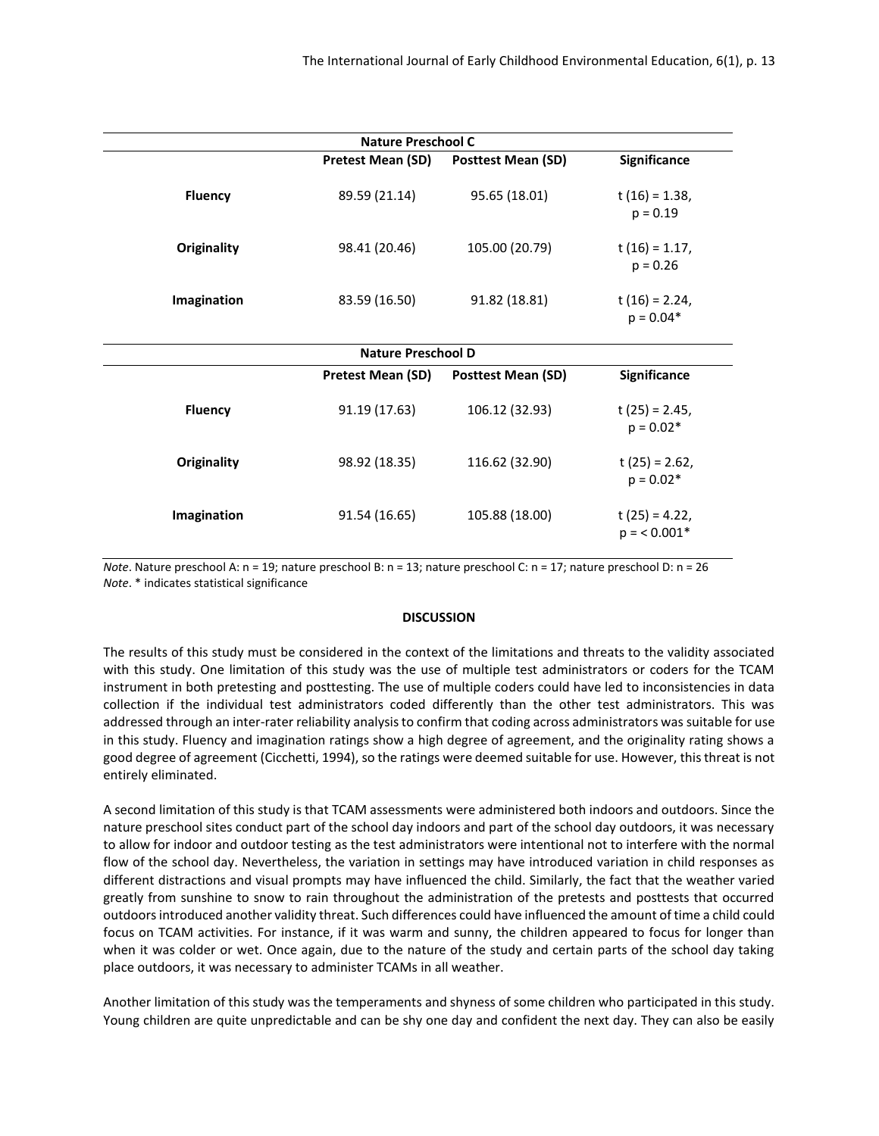| <b>Nature Preschool C</b> |                                                                |                           |                                   |  |  |  |  |  |
|---------------------------|----------------------------------------------------------------|---------------------------|-----------------------------------|--|--|--|--|--|
|                           | <b>Pretest Mean (SD)</b>                                       | <b>Posttest Mean (SD)</b> | Significance                      |  |  |  |  |  |
| <b>Fluency</b>            | 89.59 (21.14)                                                  | 95.65 (18.01)             | t $(16) = 1.38$ ,<br>$p = 0.19$   |  |  |  |  |  |
| Originality               | 98.41 (20.46)                                                  | 105.00 (20.79)            | $t(16) = 1.17$ ,<br>$p = 0.26$    |  |  |  |  |  |
| Imagination               | 83.59 (16.50)                                                  | 91.82 (18.81)             | t $(16) = 2.24$ ,<br>$p = 0.04*$  |  |  |  |  |  |
| <b>Nature Preschool D</b> |                                                                |                           |                                   |  |  |  |  |  |
|                           | Pretest Mean (SD)<br><b>Posttest Mean (SD)</b><br>Significance |                           |                                   |  |  |  |  |  |
| <b>Fluency</b>            | 91.19 (17.63)                                                  | 106.12 (32.93)            | t $(25) = 2.45$ ,<br>$p = 0.02*$  |  |  |  |  |  |
| Originality               | 98.92 (18.35)                                                  | 116.62 (32.90)            | t $(25) = 2.62$ ,<br>$p = 0.02*$  |  |  |  |  |  |
| Imagination               | 91.54 (16.65)                                                  | 105.88 (18.00)            | t $(25) = 4.22$ ,<br>$p = 0.001*$ |  |  |  |  |  |

*Note*. Nature preschool A: n = 19; nature preschool B: n = 13; nature preschool C: n = 17; nature preschool D: n = 26 *Note*. \* indicates statistical significance

#### **DISCUSSION**

The results of this study must be considered in the context of the limitations and threats to the validity associated with this study. One limitation of this study was the use of multiple test administrators or coders for the TCAM instrument in both pretesting and posttesting. The use of multiple coders could have led to inconsistencies in data collection if the individual test administrators coded differently than the other test administrators. This was addressed through an inter-rater reliability analysis to confirm that coding across administrators was suitable for use in this study. Fluency and imagination ratings show a high degree of agreement, and the originality rating shows a good degree of agreement (Cicchetti, 1994), so the ratings were deemed suitable for use. However, this threat is not entirely eliminated.

A second limitation of this study is that TCAM assessments were administered both indoors and outdoors. Since the nature preschool sites conduct part of the school day indoors and part of the school day outdoors, it was necessary to allow for indoor and outdoor testing as the test administrators were intentional not to interfere with the normal flow of the school day. Nevertheless, the variation in settings may have introduced variation in child responses as different distractions and visual prompts may have influenced the child. Similarly, the fact that the weather varied greatly from sunshine to snow to rain throughout the administration of the pretests and posttests that occurred outdoors introduced another validity threat. Such differences could have influenced the amount of time a child could focus on TCAM activities. For instance, if it was warm and sunny, the children appeared to focus for longer than when it was colder or wet. Once again, due to the nature of the study and certain parts of the school day taking place outdoors, it was necessary to administer TCAMs in all weather.

Another limitation of this study was the temperaments and shyness of some children who participated in this study. Young children are quite unpredictable and can be shy one day and confident the next day. They can also be easily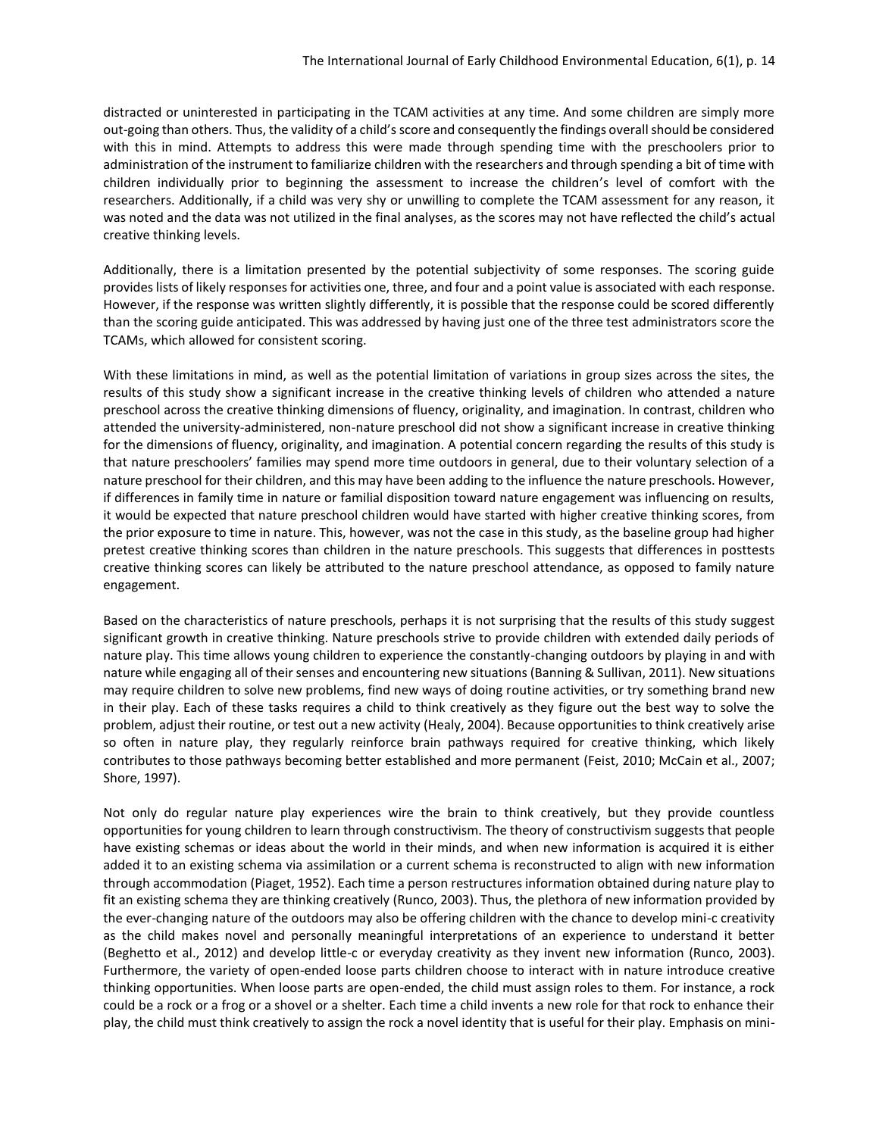distracted or uninterested in participating in the TCAM activities at any time. And some children are simply more out-going than others. Thus, the validity of a child's score and consequently the findings overall should be considered with this in mind. Attempts to address this were made through spending time with the preschoolers prior to administration of the instrument to familiarize children with the researchers and through spending a bit of time with children individually prior to beginning the assessment to increase the children's level of comfort with the researchers. Additionally, if a child was very shy or unwilling to complete the TCAM assessment for any reason, it was noted and the data was not utilized in the final analyses, as the scores may not have reflected the child's actual creative thinking levels.

Additionally, there is a limitation presented by the potential subjectivity of some responses. The scoring guide provides lists of likely responses for activities one, three, and four and a point value is associated with each response. However, if the response was written slightly differently, it is possible that the response could be scored differently than the scoring guide anticipated. This was addressed by having just one of the three test administrators score the TCAMs, which allowed for consistent scoring.

With these limitations in mind, as well as the potential limitation of variations in group sizes across the sites, the results of this study show a significant increase in the creative thinking levels of children who attended a nature preschool across the creative thinking dimensions of fluency, originality, and imagination. In contrast, children who attended the university-administered, non-nature preschool did not show a significant increase in creative thinking for the dimensions of fluency, originality, and imagination. A potential concern regarding the results of this study is that nature preschoolers' families may spend more time outdoors in general, due to their voluntary selection of a nature preschool for their children, and this may have been adding to the influence the nature preschools. However, if differences in family time in nature or familial disposition toward nature engagement was influencing on results, it would be expected that nature preschool children would have started with higher creative thinking scores, from the prior exposure to time in nature. This, however, was not the case in this study, as the baseline group had higher pretest creative thinking scores than children in the nature preschools. This suggests that differences in posttests creative thinking scores can likely be attributed to the nature preschool attendance, as opposed to family nature engagement.

Based on the characteristics of nature preschools, perhaps it is not surprising that the results of this study suggest significant growth in creative thinking. Nature preschools strive to provide children with extended daily periods of nature play. This time allows young children to experience the constantly-changing outdoors by playing in and with nature while engaging all of their senses and encountering new situations (Banning & Sullivan, 2011). New situations may require children to solve new problems, find new ways of doing routine activities, or try something brand new in their play. Each of these tasks requires a child to think creatively as they figure out the best way to solve the problem, adjust their routine, or test out a new activity (Healy, 2004). Because opportunities to think creatively arise so often in nature play, they regularly reinforce brain pathways required for creative thinking, which likely contributes to those pathways becoming better established and more permanent (Feist, 2010; McCain et al., 2007; Shore, 1997).

Not only do regular nature play experiences wire the brain to think creatively, but they provide countless opportunities for young children to learn through constructivism. The theory of constructivism suggests that people have existing schemas or ideas about the world in their minds, and when new information is acquired it is either added it to an existing schema via assimilation or a current schema is reconstructed to align with new information through accommodation (Piaget, 1952). Each time a person restructures information obtained during nature play to fit an existing schema they are thinking creatively (Runco, 2003). Thus, the plethora of new information provided by the ever-changing nature of the outdoors may also be offering children with the chance to develop mini-c creativity as the child makes novel and personally meaningful interpretations of an experience to understand it better (Beghetto et al., 2012) and develop little-c or everyday creativity as they invent new information (Runco, 2003). Furthermore, the variety of open-ended loose parts children choose to interact with in nature introduce creative thinking opportunities. When loose parts are open-ended, the child must assign roles to them. For instance, a rock could be a rock or a frog or a shovel or a shelter. Each time a child invents a new role for that rock to enhance their play, the child must think creatively to assign the rock a novel identity that is useful for their play. Emphasis on mini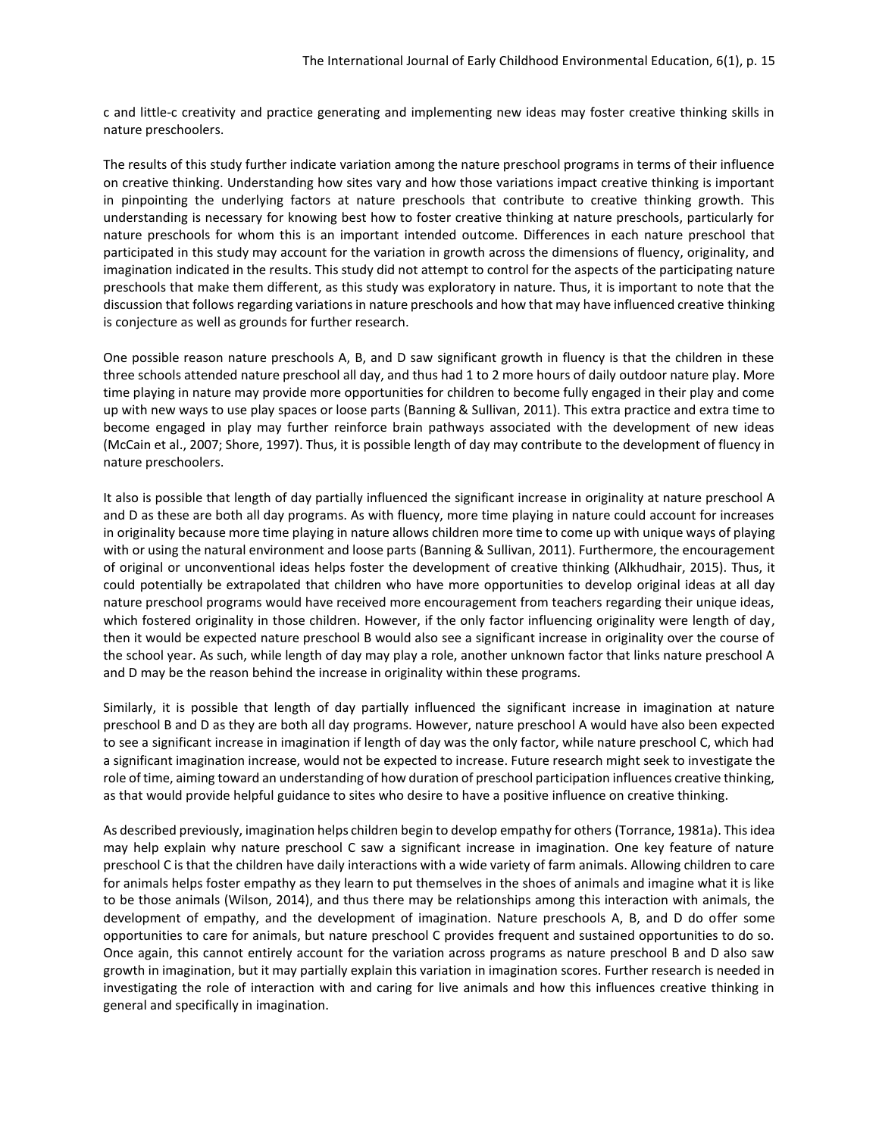c and little-c creativity and practice generating and implementing new ideas may foster creative thinking skills in nature preschoolers.

The results of this study further indicate variation among the nature preschool programs in terms of their influence on creative thinking. Understanding how sites vary and how those variations impact creative thinking is important in pinpointing the underlying factors at nature preschools that contribute to creative thinking growth. This understanding is necessary for knowing best how to foster creative thinking at nature preschools, particularly for nature preschools for whom this is an important intended outcome. Differences in each nature preschool that participated in this study may account for the variation in growth across the dimensions of fluency, originality, and imagination indicated in the results. This study did not attempt to control for the aspects of the participating nature preschools that make them different, as this study was exploratory in nature. Thus, it is important to note that the discussion that follows regarding variations in nature preschools and how that may have influenced creative thinking is conjecture as well as grounds for further research.

One possible reason nature preschools A, B, and D saw significant growth in fluency is that the children in these three schools attended nature preschool all day, and thus had 1 to 2 more hours of daily outdoor nature play. More time playing in nature may provide more opportunities for children to become fully engaged in their play and come up with new ways to use play spaces or loose parts (Banning & Sullivan, 2011). This extra practice and extra time to become engaged in play may further reinforce brain pathways associated with the development of new ideas (McCain et al., 2007; Shore, 1997). Thus, it is possible length of day may contribute to the development of fluency in nature preschoolers.

It also is possible that length of day partially influenced the significant increase in originality at nature preschool A and D as these are both all day programs. As with fluency, more time playing in nature could account for increases in originality because more time playing in nature allows children more time to come up with unique ways of playing with or using the natural environment and loose parts (Banning & Sullivan, 2011). Furthermore, the encouragement of original or unconventional ideas helps foster the development of creative thinking (Alkhudhair, 2015). Thus, it could potentially be extrapolated that children who have more opportunities to develop original ideas at all day nature preschool programs would have received more encouragement from teachers regarding their unique ideas, which fostered originality in those children. However, if the only factor influencing originality were length of day, then it would be expected nature preschool B would also see a significant increase in originality over the course of the school year. As such, while length of day may play a role, another unknown factor that links nature preschool A and D may be the reason behind the increase in originality within these programs.

Similarly, it is possible that length of day partially influenced the significant increase in imagination at nature preschool B and D as they are both all day programs. However, nature preschool A would have also been expected to see a significant increase in imagination if length of day was the only factor, while nature preschool C, which had a significant imagination increase, would not be expected to increase. Future research might seek to investigate the role of time, aiming toward an understanding of how duration of preschool participation influences creative thinking, as that would provide helpful guidance to sites who desire to have a positive influence on creative thinking.

As described previously, imagination helps children begin to develop empathy for others (Torrance, 1981a). This idea may help explain why nature preschool C saw a significant increase in imagination. One key feature of nature preschool C is that the children have daily interactions with a wide variety of farm animals. Allowing children to care for animals helps foster empathy as they learn to put themselves in the shoes of animals and imagine what it is like to be those animals (Wilson, 2014), and thus there may be relationships among this interaction with animals, the development of empathy, and the development of imagination. Nature preschools A, B, and D do offer some opportunities to care for animals, but nature preschool C provides frequent and sustained opportunities to do so. Once again, this cannot entirely account for the variation across programs as nature preschool B and D also saw growth in imagination, but it may partially explain this variation in imagination scores. Further research is needed in investigating the role of interaction with and caring for live animals and how this influences creative thinking in general and specifically in imagination.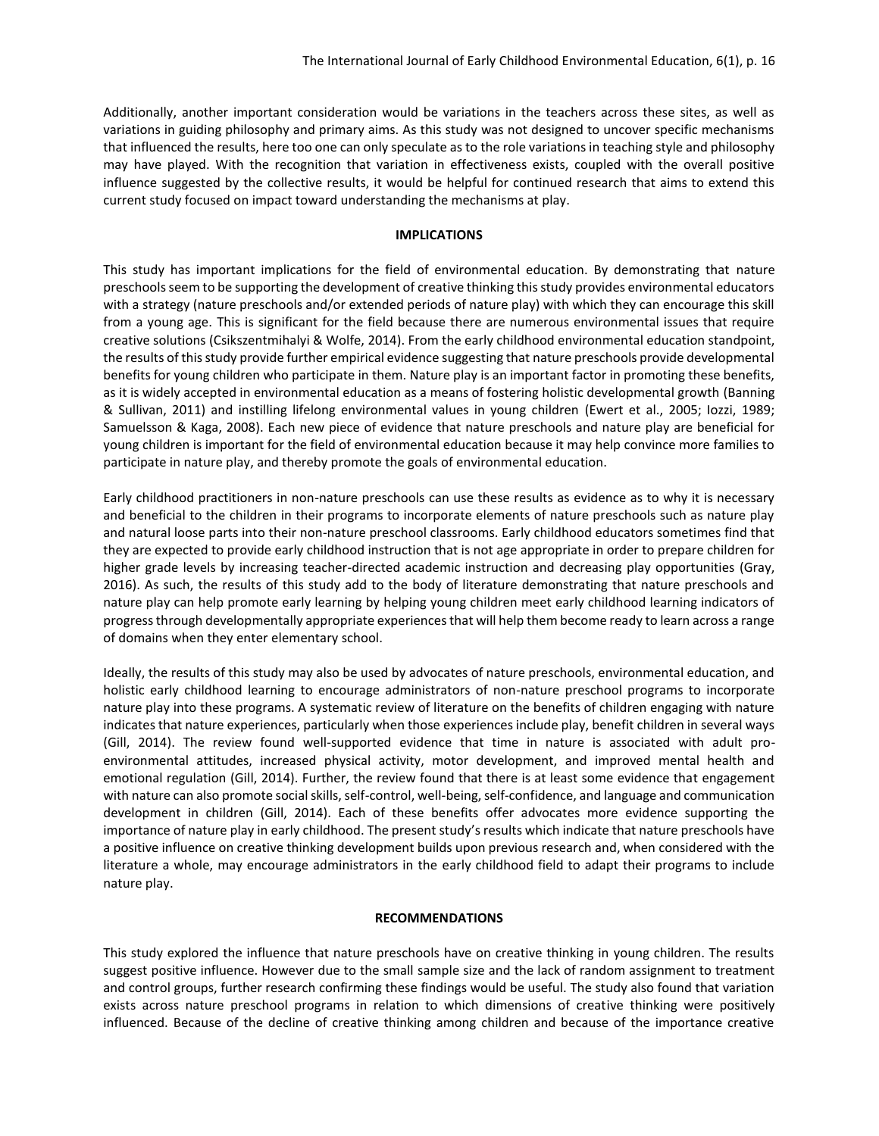Additionally, another important consideration would be variations in the teachers across these sites, as well as variations in guiding philosophy and primary aims. As this study was not designed to uncover specific mechanisms that influenced the results, here too one can only speculate as to the role variations in teaching style and philosophy may have played. With the recognition that variation in effectiveness exists, coupled with the overall positive influence suggested by the collective results, it would be helpful for continued research that aims to extend this current study focused on impact toward understanding the mechanisms at play.

## **IMPLICATIONS**

This study has important implications for the field of environmental education. By demonstrating that nature preschools seem to be supporting the development of creative thinking this study provides environmental educators with a strategy (nature preschools and/or extended periods of nature play) with which they can encourage this skill from a young age. This is significant for the field because there are numerous environmental issues that require creative solutions (Csikszentmihalyi & Wolfe, 2014). From the early childhood environmental education standpoint, the results of this study provide further empirical evidence suggesting that nature preschools provide developmental benefits for young children who participate in them. Nature play is an important factor in promoting these benefits, as it is widely accepted in environmental education as a means of fostering holistic developmental growth (Banning & Sullivan, 2011) and instilling lifelong environmental values in young children (Ewert et al., 2005; Iozzi, 1989; Samuelsson & Kaga, 2008). Each new piece of evidence that nature preschools and nature play are beneficial for young children is important for the field of environmental education because it may help convince more families to participate in nature play, and thereby promote the goals of environmental education.

Early childhood practitioners in non-nature preschools can use these results as evidence as to why it is necessary and beneficial to the children in their programs to incorporate elements of nature preschools such as nature play and natural loose parts into their non-nature preschool classrooms. Early childhood educators sometimes find that they are expected to provide early childhood instruction that is not age appropriate in order to prepare children for higher grade levels by increasing teacher-directed academic instruction and decreasing play opportunities (Gray, 2016). As such, the results of this study add to the body of literature demonstrating that nature preschools and nature play can help promote early learning by helping young children meet early childhood learning indicators of progress through developmentally appropriate experiences that will help them become ready to learn across a range of domains when they enter elementary school.

Ideally, the results of this study may also be used by advocates of nature preschools, environmental education, and holistic early childhood learning to encourage administrators of non-nature preschool programs to incorporate nature play into these programs. A systematic review of literature on the benefits of children engaging with nature indicates that nature experiences, particularly when those experiences include play, benefit children in several ways (Gill, 2014). The review found well-supported evidence that time in nature is associated with adult proenvironmental attitudes, increased physical activity, motor development, and improved mental health and emotional regulation (Gill, 2014). Further, the review found that there is at least some evidence that engagement with nature can also promote social skills, self-control, well-being, self-confidence, and language and communication development in children (Gill, 2014). Each of these benefits offer advocates more evidence supporting the importance of nature play in early childhood. The present study's results which indicate that nature preschools have a positive influence on creative thinking development builds upon previous research and, when considered with the literature a whole, may encourage administrators in the early childhood field to adapt their programs to include nature play.

#### **RECOMMENDATIONS**

This study explored the influence that nature preschools have on creative thinking in young children. The results suggest positive influence. However due to the small sample size and the lack of random assignment to treatment and control groups, further research confirming these findings would be useful. The study also found that variation exists across nature preschool programs in relation to which dimensions of creative thinking were positively influenced. Because of the decline of creative thinking among children and because of the importance creative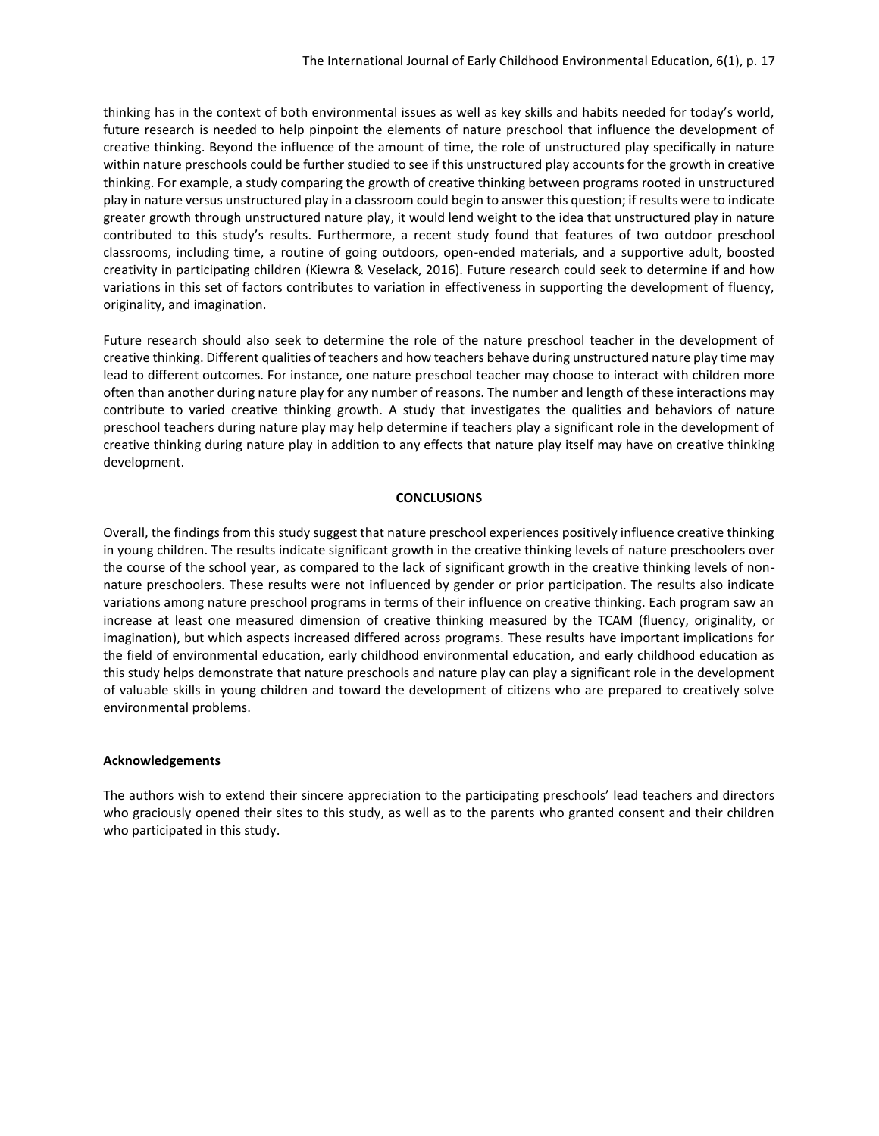thinking has in the context of both environmental issues as well as key skills and habits needed for today's world, future research is needed to help pinpoint the elements of nature preschool that influence the development of creative thinking. Beyond the influence of the amount of time, the role of unstructured play specifically in nature within nature preschools could be further studied to see if this unstructured play accounts for the growth in creative thinking. For example, a study comparing the growth of creative thinking between programs rooted in unstructured play in nature versus unstructured play in a classroom could begin to answer this question; if results were to indicate greater growth through unstructured nature play, it would lend weight to the idea that unstructured play in nature contributed to this study's results. Furthermore, a recent study found that features of two outdoor preschool classrooms, including time, a routine of going outdoors, open-ended materials, and a supportive adult, boosted creativity in participating children (Kiewra & Veselack, 2016). Future research could seek to determine if and how variations in this set of factors contributes to variation in effectiveness in supporting the development of fluency, originality, and imagination.

Future research should also seek to determine the role of the nature preschool teacher in the development of creative thinking. Different qualities of teachers and how teachers behave during unstructured nature play time may lead to different outcomes. For instance, one nature preschool teacher may choose to interact with children more often than another during nature play for any number of reasons. The number and length of these interactions may contribute to varied creative thinking growth. A study that investigates the qualities and behaviors of nature preschool teachers during nature play may help determine if teachers play a significant role in the development of creative thinking during nature play in addition to any effects that nature play itself may have on creative thinking development.

#### **CONCLUSIONS**

Overall, the findings from this study suggest that nature preschool experiences positively influence creative thinking in young children. The results indicate significant growth in the creative thinking levels of nature preschoolers over the course of the school year, as compared to the lack of significant growth in the creative thinking levels of nonnature preschoolers. These results were not influenced by gender or prior participation. The results also indicate variations among nature preschool programs in terms of their influence on creative thinking. Each program saw an increase at least one measured dimension of creative thinking measured by the TCAM (fluency, originality, or imagination), but which aspects increased differed across programs. These results have important implications for the field of environmental education, early childhood environmental education, and early childhood education as this study helps demonstrate that nature preschools and nature play can play a significant role in the development of valuable skills in young children and toward the development of citizens who are prepared to creatively solve environmental problems.

#### **Acknowledgements**

The authors wish to extend their sincere appreciation to the participating preschools' lead teachers and directors who graciously opened their sites to this study, as well as to the parents who granted consent and their children who participated in this study.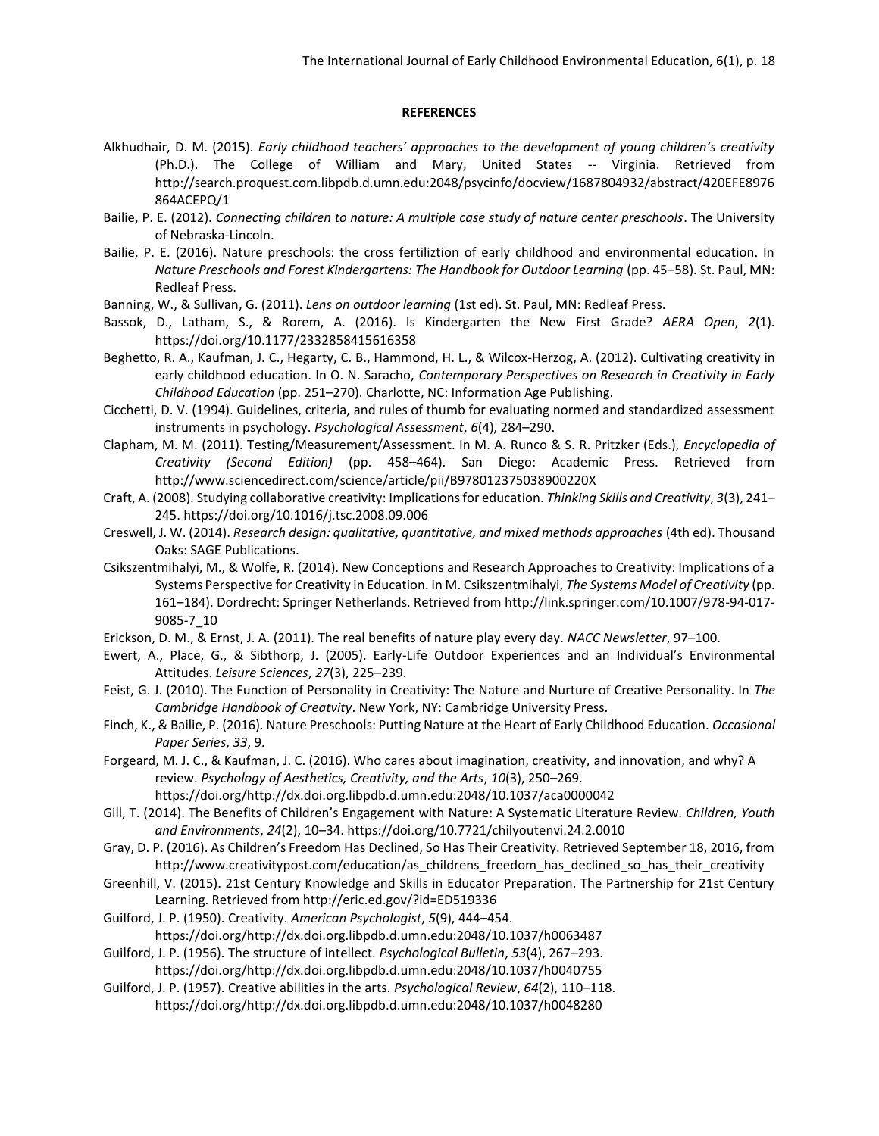#### **REFERENCES**

- Alkhudhair, D. M. (2015). *Early childhood teachers' approaches to the development of young children's creativity* (Ph.D.). The College of William and Mary, United States -- Virginia. Retrieved from http://search.proquest.com.libpdb.d.umn.edu:2048/psycinfo/docview/1687804932/abstract/420EFE8976 864ACEPQ/1
- Bailie, P. E. (2012). *Connecting children to nature: A multiple case study of nature center preschools*. The University of Nebraska-Lincoln.
- Bailie, P. E. (2016). Nature preschools: the cross fertiliztion of early childhood and environmental education. In *Nature Preschools and Forest Kindergartens: The Handbook for Outdoor Learning* (pp. 45–58). St. Paul, MN: Redleaf Press.
- Banning, W., & Sullivan, G. (2011). *Lens on outdoor learning* (1st ed). St. Paul, MN: Redleaf Press.
- Bassok, D., Latham, S., & Rorem, A. (2016). Is Kindergarten the New First Grade? *AERA Open*, *2*(1). https://doi.org/10.1177/2332858415616358
- Beghetto, R. A., Kaufman, J. C., Hegarty, C. B., Hammond, H. L., & Wilcox-Herzog, A. (2012). Cultivating creativity in early childhood education. In O. N. Saracho, *Contemporary Perspectives on Research in Creativity in Early Childhood Education* (pp. 251–270). Charlotte, NC: Information Age Publishing.
- Cicchetti, D. V. (1994). Guidelines, criteria, and rules of thumb for evaluating normed and standardized assessment instruments in psychology. *Psychological Assessment*, *6*(4), 284–290.
- Clapham, M. M. (2011). Testing/Measurement/Assessment. In M. A. Runco & S. R. Pritzker (Eds.), *Encyclopedia of Creativity (Second Edition)* (pp. 458–464). San Diego: Academic Press. Retrieved from http://www.sciencedirect.com/science/article/pii/B978012375038900220X
- Craft, A. (2008). Studying collaborative creativity: Implications for education. *Thinking Skills and Creativity*, *3*(3), 241– 245. https://doi.org/10.1016/j.tsc.2008.09.006
- Creswell, J. W. (2014). *Research design: qualitative, quantitative, and mixed methods approaches* (4th ed). Thousand Oaks: SAGE Publications.
- Csikszentmihalyi, M., & Wolfe, R. (2014). New Conceptions and Research Approaches to Creativity: Implications of a Systems Perspective for Creativity in Education. In M. Csikszentmihalyi, *The Systems Model of Creativity* (pp. 161–184). Dordrecht: Springer Netherlands. Retrieved from http://link.springer.com/10.1007/978-94-017- 9085-7\_10
- Erickson, D. M., & Ernst, J. A. (2011). The real benefits of nature play every day. *NACC Newsletter*, 97–100.
- Ewert, A., Place, G., & Sibthorp, J. (2005). Early-Life Outdoor Experiences and an Individual's Environmental Attitudes. *Leisure Sciences*, *27*(3), 225–239.
- Feist, G. J. (2010). The Function of Personality in Creativity: The Nature and Nurture of Creative Personality. In *The Cambridge Handbook of Creatvity*. New York, NY: Cambridge University Press.
- Finch, K., & Bailie, P. (2016). Nature Preschools: Putting Nature at the Heart of Early Childhood Education. *Occasional Paper Series*, *33*, 9.
- Forgeard, M. J. C., & Kaufman, J. C. (2016). Who cares about imagination, creativity, and innovation, and why? A review. *Psychology of Aesthetics, Creativity, and the Arts*, *10*(3), 250–269.

https://doi.org/http://dx.doi.org.libpdb.d.umn.edu:2048/10.1037/aca0000042

- Gill, T. (2014). The Benefits of Children's Engagement with Nature: A Systematic Literature Review. *Children, Youth and Environments*, *24*(2), 10–34. https://doi.org/10.7721/chilyoutenvi.24.2.0010
- Gray, D. P. (2016). As Children's Freedom Has Declined, So Has Their Creativity. Retrieved September 18, 2016, from http://www.creativitypost.com/education/as\_childrens\_freedom\_has\_declined\_so\_has\_their\_creativity
- Greenhill, V. (2015). 21st Century Knowledge and Skills in Educator Preparation. The Partnership for 21st Century Learning. Retrieved from http://eric.ed.gov/?id=ED519336
- Guilford, J. P. (1950). Creativity. *American Psychologist*, *5*(9), 444–454. https://doi.org/http://dx.doi.org.libpdb.d.umn.edu:2048/10.1037/h0063487
- Guilford, J. P. (1956). The structure of intellect. *Psychological Bulletin*, *53*(4), 267–293. https://doi.org/http://dx.doi.org.libpdb.d.umn.edu:2048/10.1037/h0040755
- Guilford, J. P. (1957). Creative abilities in the arts. *Psychological Review*, *64*(2), 110–118. https://doi.org/http://dx.doi.org.libpdb.d.umn.edu:2048/10.1037/h0048280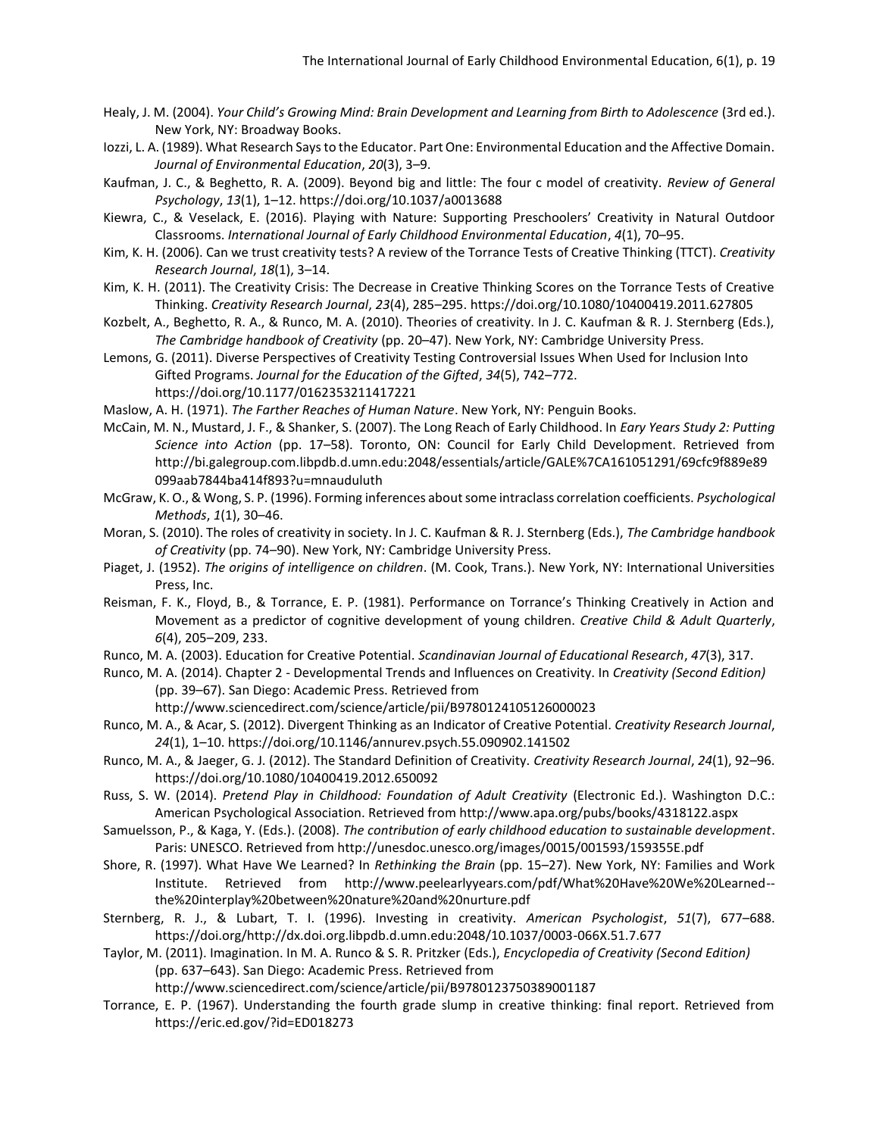- Healy, J. M. (2004). *Your Child's Growing Mind: Brain Development and Learning from Birth to Adolescence* (3rd ed.). New York, NY: Broadway Books.
- Iozzi, L. A. (1989). What Research Says to the Educator. Part One: Environmental Education and the Affective Domain. *Journal of Environmental Education*, *20*(3), 3–9.
- Kaufman, J. C., & Beghetto, R. A. (2009). Beyond big and little: The four c model of creativity. *Review of General Psychology*, *13*(1), 1–12. https://doi.org/10.1037/a0013688
- Kiewra, C., & Veselack, E. (2016). Playing with Nature: Supporting Preschoolers' Creativity in Natural Outdoor Classrooms. *International Journal of Early Childhood Environmental Education*, *4*(1), 70–95.
- Kim, K. H. (2006). Can we trust creativity tests? A review of the Torrance Tests of Creative Thinking (TTCT). *Creativity Research Journal*, *18*(1), 3–14.
- Kim, K. H. (2011). The Creativity Crisis: The Decrease in Creative Thinking Scores on the Torrance Tests of Creative Thinking. *Creativity Research Journal*, *23*(4), 285–295. https://doi.org/10.1080/10400419.2011.627805
- Kozbelt, A., Beghetto, R. A., & Runco, M. A. (2010). Theories of creativity. In J. C. Kaufman & R. J. Sternberg (Eds.), *The Cambridge handbook of Creativity* (pp. 20–47). New York, NY: Cambridge University Press.
- Lemons, G. (2011). Diverse Perspectives of Creativity Testing Controversial Issues When Used for Inclusion Into Gifted Programs. *Journal for the Education of the Gifted*, *34*(5), 742–772. https://doi.org/10.1177/0162353211417221
- Maslow, A. H. (1971). *The Farther Reaches of Human Nature*. New York, NY: Penguin Books.
- McCain, M. N., Mustard, J. F., & Shanker, S. (2007). The Long Reach of Early Childhood. In *Eary Years Study 2: Putting Science into Action* (pp. 17–58). Toronto, ON: Council for Early Child Development. Retrieved from http://bi.galegroup.com.libpdb.d.umn.edu:2048/essentials/article/GALE%7CA161051291/69cfc9f889e89 099aab7844ba414f893?u=mnauduluth
- McGraw, K. O., & Wong, S. P. (1996). Forming inferences about some intraclass correlation coefficients. *Psychological Methods*, *1*(1), 30–46.
- Moran, S. (2010). The roles of creativity in society. In J. C. Kaufman & R. J. Sternberg (Eds.), *The Cambridge handbook of Creativity* (pp. 74–90). New York, NY: Cambridge University Press.
- Piaget, J. (1952). *The origins of intelligence on children*. (M. Cook, Trans.). New York, NY: International Universities Press, Inc.
- Reisman, F. K., Floyd, B., & Torrance, E. P. (1981). Performance on Torrance's Thinking Creatively in Action and Movement as a predictor of cognitive development of young children. *Creative Child & Adult Quarterly*, *6*(4), 205–209, 233.
- Runco, M. A. (2003). Education for Creative Potential. *Scandinavian Journal of Educational Research*, *47*(3), 317.
- Runco, M. A. (2014). Chapter 2 Developmental Trends and Influences on Creativity. In *Creativity (Second Edition)* (pp. 39–67). San Diego: Academic Press. Retrieved from
	- http://www.sciencedirect.com/science/article/pii/B9780124105126000023
- Runco, M. A., & Acar, S. (2012). Divergent Thinking as an Indicator of Creative Potential. *Creativity Research Journal*, *24*(1), 1–10. https://doi.org/10.1146/annurev.psych.55.090902.141502
- Runco, M. A., & Jaeger, G. J. (2012). The Standard Definition of Creativity. *Creativity Research Journal*, *24*(1), 92–96. https://doi.org/10.1080/10400419.2012.650092
- Russ, S. W. (2014). *Pretend Play in Childhood: Foundation of Adult Creativity* (Electronic Ed.). Washington D.C.: American Psychological Association. Retrieved from http://www.apa.org/pubs/books/4318122.aspx
- Samuelsson, P., & Kaga, Y. (Eds.). (2008). *The contribution of early childhood education to sustainable development*. Paris: UNESCO. Retrieved from http://unesdoc.unesco.org/images/0015/001593/159355E.pdf
- Shore, R. (1997). What Have We Learned? In *Rethinking the Brain* (pp. 15–27). New York, NY: Families and Work Institute. Retrieved from http://www.peelearlyyears.com/pdf/What%20Have%20We%20Learned- the%20interplay%20between%20nature%20and%20nurture.pdf
- Sternberg, R. J., & Lubart, T. I. (1996). Investing in creativity. *American Psychologist*, *51*(7), 677–688. https://doi.org/http://dx.doi.org.libpdb.d.umn.edu:2048/10.1037/0003-066X.51.7.677
- Taylor, M. (2011). Imagination. In M. A. Runco & S. R. Pritzker (Eds.), *Encyclopedia of Creativity (Second Edition)* (pp. 637–643). San Diego: Academic Press. Retrieved from

http://www.sciencedirect.com/science/article/pii/B9780123750389001187

Torrance, E. P. (1967). Understanding the fourth grade slump in creative thinking: final report. Retrieved from https://eric.ed.gov/?id=ED018273